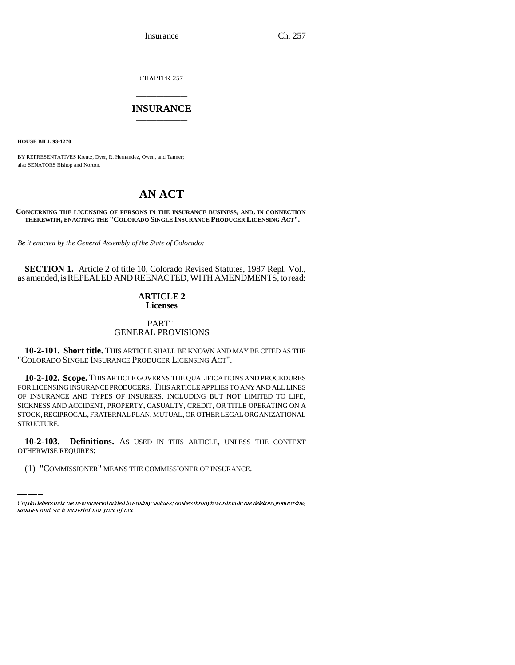Insurance Ch. 257

CHAPTER 257

# \_\_\_\_\_\_\_\_\_\_\_\_\_\_\_ **INSURANCE** \_\_\_\_\_\_\_\_\_\_\_\_\_\_\_

**HOUSE BILL 93-1270**

BY REPRESENTATIVES Kreutz, Dyer, R. Hernandez, Owen, and Tanner; also SENATORS Bishop and Norton.

# **AN ACT**

# **CONCERNING THE LICENSING OF PERSONS IN THE INSURANCE BUSINESS, AND, IN CONNECTION THEREWITH, ENACTING THE "COLORADO SINGLE INSURANCE PRODUCER LICENSING ACT".**

*Be it enacted by the General Assembly of the State of Colorado:*

**SECTION 1.** Article 2 of title 10, Colorado Revised Statutes, 1987 Repl. Vol., as amended, is REPEALED AND REENACTED, WITH AMENDMENTS, to read:

# **ARTICLE 2 Licenses**

# PART 1 GENERAL PROVISIONS

**10-2-101. Short title.** THIS ARTICLE SHALL BE KNOWN AND MAY BE CITED AS THE "COLORADO SINGLE INSURANCE PRODUCER LICENSING ACT".

**10-2-102. Scope.** THIS ARTICLE GOVERNS THE QUALIFICATIONS AND PROCEDURES FOR LICENSING INSURANCE PRODUCERS. THIS ARTICLE APPLIES TO ANY AND ALL LINES OF INSURANCE AND TYPES OF INSURERS, INCLUDING BUT NOT LIMITED TO LIFE, SICKNESS AND ACCIDENT, PROPERTY, CASUALTY, CREDIT, OR TITLE OPERATING ON A STOCK, RECIPROCAL, FRATERNAL PLAN, MUTUAL, OR OTHER LEGAL ORGANIZATIONAL STRUCTURE.

**10-2-103. Definitions.** AS USED IN THIS ARTICLE, UNLESS THE CONTEXT OTHERWISE REQUIRES:

(1) "COMMISSIONER" MEANS THE COMMISSIONER OF INSURANCE.

Capital letters indicate new material added to existing statutes; dashes through words indicate deletions from existing statutes and such material not part of act.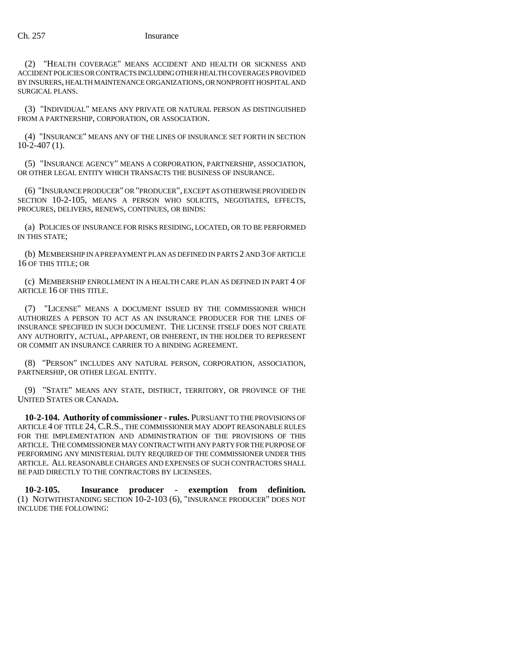(2) "HEALTH COVERAGE" MEANS ACCIDENT AND HEALTH OR SICKNESS AND ACCIDENT POLICIES OR CONTRACTS INCLUDING OTHER HEALTH COVERAGES PROVIDED BY INSURERS, HEALTH MAINTENANCE ORGANIZATIONS, OR NONPROFIT HOSPITAL AND SURGICAL PLANS.

(3) "INDIVIDUAL" MEANS ANY PRIVATE OR NATURAL PERSON AS DISTINGUISHED FROM A PARTNERSHIP, CORPORATION, OR ASSOCIATION.

(4) "INSURANCE" MEANS ANY OF THE LINES OF INSURANCE SET FORTH IN SECTION 10-2-407 (1).

(5) "INSURANCE AGENCY" MEANS A CORPORATION, PARTNERSHIP, ASSOCIATION, OR OTHER LEGAL ENTITY WHICH TRANSACTS THE BUSINESS OF INSURANCE.

(6) "INSURANCE PRODUCER" OR "PRODUCER", EXCEPT AS OTHERWISE PROVIDED IN SECTION 10-2-105, MEANS A PERSON WHO SOLICITS, NEGOTIATES, EFFECTS, PROCURES, DELIVERS, RENEWS, CONTINUES, OR BINDS:

(a) POLICIES OF INSURANCE FOR RISKS RESIDING, LOCATED, OR TO BE PERFORMED IN THIS STATE;

(b) MEMBERSHIP IN A PREPAYMENT PLAN AS DEFINED IN PARTS 2 AND 3 OF ARTICLE 16 OF THIS TITLE; OR

(c) MEMBERSHIP ENROLLMENT IN A HEALTH CARE PLAN AS DEFINED IN PART 4 OF ARTICLE 16 OF THIS TITLE.

(7) "LICENSE" MEANS A DOCUMENT ISSUED BY THE COMMISSIONER WHICH AUTHORIZES A PERSON TO ACT AS AN INSURANCE PRODUCER FOR THE LINES OF INSURANCE SPECIFIED IN SUCH DOCUMENT. THE LICENSE ITSELF DOES NOT CREATE ANY AUTHORITY, ACTUAL, APPARENT, OR INHERENT, IN THE HOLDER TO REPRESENT OR COMMIT AN INSURANCE CARRIER TO A BINDING AGREEMENT.

(8) "PERSON" INCLUDES ANY NATURAL PERSON, CORPORATION, ASSOCIATION, PARTNERSHIP, OR OTHER LEGAL ENTITY.

(9) "STATE" MEANS ANY STATE, DISTRICT, TERRITORY, OR PROVINCE OF THE UNITED STATES OR CANADA.

**10-2-104. Authority of commissioner - rules.** PURSUANT TO THE PROVISIONS OF ARTICLE 4 OF TITLE 24, C.R.S., THE COMMISSIONER MAY ADOPT REASONABLE RULES FOR THE IMPLEMENTATION AND ADMINISTRATION OF THE PROVISIONS OF THIS ARTICLE. THE COMMISSIONER MAY CONTRACT WITH ANY PARTY FOR THE PURPOSE OF PERFORMING ANY MINISTERIAL DUTY REQUIRED OF THE COMMISSIONER UNDER THIS ARTICLE. ALL REASONABLE CHARGES AND EXPENSES OF SUCH CONTRACTORS SHALL BE PAID DIRECTLY TO THE CONTRACTORS BY LICENSEES.

**10-2-105. Insurance producer - exemption from definition.** (1) NOTWITHSTANDING SECTION 10-2-103 (6), "INSURANCE PRODUCER" DOES NOT INCLUDE THE FOLLOWING: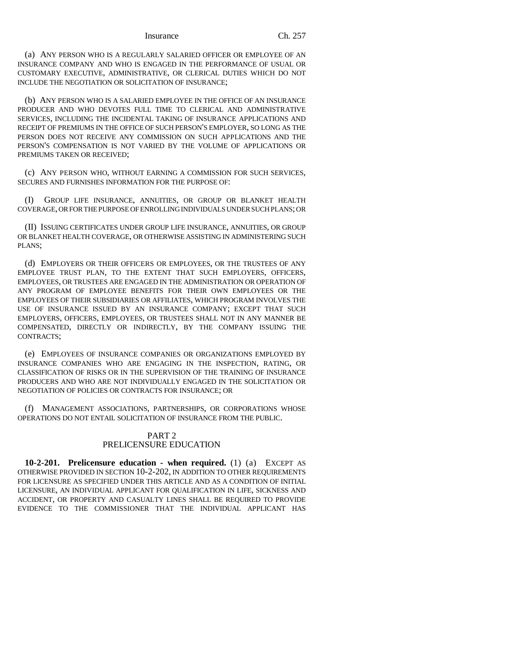#### Insurance Ch. 257

(a) ANY PERSON WHO IS A REGULARLY SALARIED OFFICER OR EMPLOYEE OF AN INSURANCE COMPANY AND WHO IS ENGAGED IN THE PERFORMANCE OF USUAL OR CUSTOMARY EXECUTIVE, ADMINISTRATIVE, OR CLERICAL DUTIES WHICH DO NOT INCLUDE THE NEGOTIATION OR SOLICITATION OF INSURANCE;

(b) ANY PERSON WHO IS A SALARIED EMPLOYEE IN THE OFFICE OF AN INSURANCE PRODUCER AND WHO DEVOTES FULL TIME TO CLERICAL AND ADMINISTRATIVE SERVICES, INCLUDING THE INCIDENTAL TAKING OF INSURANCE APPLICATIONS AND RECEIPT OF PREMIUMS IN THE OFFICE OF SUCH PERSON'S EMPLOYER, SO LONG AS THE PERSON DOES NOT RECEIVE ANY COMMISSION ON SUCH APPLICATIONS AND THE PERSON'S COMPENSATION IS NOT VARIED BY THE VOLUME OF APPLICATIONS OR PREMIUMS TAKEN OR RECEIVED;

(c) ANY PERSON WHO, WITHOUT EARNING A COMMISSION FOR SUCH SERVICES, SECURES AND FURNISHES INFORMATION FOR THE PURPOSE OF:

(I) GROUP LIFE INSURANCE, ANNUITIES, OR GROUP OR BLANKET HEALTH COVERAGE, OR FOR THE PURPOSE OF ENROLLING INDIVIDUALS UNDER SUCH PLANS; OR

(II) ISSUING CERTIFICATES UNDER GROUP LIFE INSURANCE, ANNUITIES, OR GROUP OR BLANKET HEALTH COVERAGE, OR OTHERWISE ASSISTING IN ADMINISTERING SUCH PLANS;

(d) EMPLOYERS OR THEIR OFFICERS OR EMPLOYEES, OR THE TRUSTEES OF ANY EMPLOYEE TRUST PLAN, TO THE EXTENT THAT SUCH EMPLOYERS, OFFICERS, EMPLOYEES, OR TRUSTEES ARE ENGAGED IN THE ADMINISTRATION OR OPERATION OF ANY PROGRAM OF EMPLOYEE BENEFITS FOR THEIR OWN EMPLOYEES OR THE EMPLOYEES OF THEIR SUBSIDIARIES OR AFFILIATES, WHICH PROGRAM INVOLVES THE USE OF INSURANCE ISSUED BY AN INSURANCE COMPANY; EXCEPT THAT SUCH EMPLOYERS, OFFICERS, EMPLOYEES, OR TRUSTEES SHALL NOT IN ANY MANNER BE COMPENSATED, DIRECTLY OR INDIRECTLY, BY THE COMPANY ISSUING THE CONTRACTS;

(e) EMPLOYEES OF INSURANCE COMPANIES OR ORGANIZATIONS EMPLOYED BY INSURANCE COMPANIES WHO ARE ENGAGING IN THE INSPECTION, RATING, OR CLASSIFICATION OF RISKS OR IN THE SUPERVISION OF THE TRAINING OF INSURANCE PRODUCERS AND WHO ARE NOT INDIVIDUALLY ENGAGED IN THE SOLICITATION OR NEGOTIATION OF POLICIES OR CONTRACTS FOR INSURANCE; OR

(f) MANAGEMENT ASSOCIATIONS, PARTNERSHIPS, OR CORPORATIONS WHOSE OPERATIONS DO NOT ENTAIL SOLICITATION OF INSURANCE FROM THE PUBLIC.

# PART 2 PRELICENSURE EDUCATION

**10-2-201. Prelicensure education - when required.** (1) (a) EXCEPT AS OTHERWISE PROVIDED IN SECTION 10-2-202, IN ADDITION TO OTHER REQUIREMENTS FOR LICENSURE AS SPECIFIED UNDER THIS ARTICLE AND AS A CONDITION OF INITIAL LICENSURE, AN INDIVIDUAL APPLICANT FOR QUALIFICATION IN LIFE, SICKNESS AND ACCIDENT, OR PROPERTY AND CASUALTY LINES SHALL BE REQUIRED TO PROVIDE EVIDENCE TO THE COMMISSIONER THAT THE INDIVIDUAL APPLICANT HAS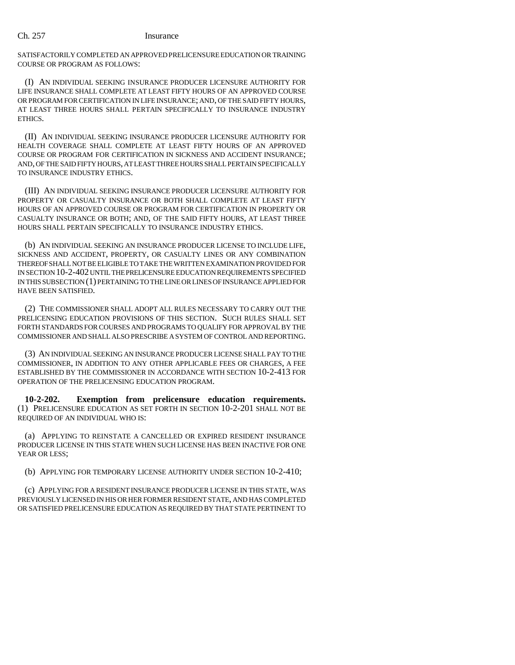SATISFACTORILY COMPLETED AN APPROVED PRELICENSURE EDUCATION OR TRAINING COURSE OR PROGRAM AS FOLLOWS:

(I) AN INDIVIDUAL SEEKING INSURANCE PRODUCER LICENSURE AUTHORITY FOR LIFE INSURANCE SHALL COMPLETE AT LEAST FIFTY HOURS OF AN APPROVED COURSE OR PROGRAM FOR CERTIFICATION IN LIFE INSURANCE; AND, OF THE SAID FIFTY HOURS, AT LEAST THREE HOURS SHALL PERTAIN SPECIFICALLY TO INSURANCE INDUSTRY **ETHICS** 

(II) AN INDIVIDUAL SEEKING INSURANCE PRODUCER LICENSURE AUTHORITY FOR HEALTH COVERAGE SHALL COMPLETE AT LEAST FIFTY HOURS OF AN APPROVED COURSE OR PROGRAM FOR CERTIFICATION IN SICKNESS AND ACCIDENT INSURANCE; AND, OF THE SAID FIFTY HOURS, AT LEAST THREE HOURS SHALL PERTAIN SPECIFICALLY TO INSURANCE INDUSTRY ETHICS.

(III) AN INDIVIDUAL SEEKING INSURANCE PRODUCER LICENSURE AUTHORITY FOR PROPERTY OR CASUALTY INSURANCE OR BOTH SHALL COMPLETE AT LEAST FIFTY HOURS OF AN APPROVED COURSE OR PROGRAM FOR CERTIFICATION IN PROPERTY OR CASUALTY INSURANCE OR BOTH; AND, OF THE SAID FIFTY HOURS, AT LEAST THREE HOURS SHALL PERTAIN SPECIFICALLY TO INSURANCE INDUSTRY ETHICS.

(b) AN INDIVIDUAL SEEKING AN INSURANCE PRODUCER LICENSE TO INCLUDE LIFE, SICKNESS AND ACCIDENT, PROPERTY, OR CASUALTY LINES OR ANY COMBINATION THEREOF SHALL NOT BE ELIGIBLE TO TAKE THE WRITTEN EXAMINATION PROVIDED FOR IN SECTION 10-2-402 UNTIL THE PRELICENSURE EDUCATION REQUIREMENTS SPECIFIED IN THIS SUBSECTION (1) PERTAINING TO THE LINE OR LINES OF INSURANCE APPLIED FOR HAVE BEEN SATISFIED.

(2) THE COMMISSIONER SHALL ADOPT ALL RULES NECESSARY TO CARRY OUT THE PRELICENSING EDUCATION PROVISIONS OF THIS SECTION. SUCH RULES SHALL SET FORTH STANDARDS FOR COURSES AND PROGRAMS TO QUALIFY FOR APPROVAL BY THE COMMISSIONER AND SHALL ALSO PRESCRIBE A SYSTEM OF CONTROL AND REPORTING.

(3) AN INDIVIDUAL SEEKING AN INSURANCE PRODUCER LICENSE SHALL PAY TO THE COMMISSIONER, IN ADDITION TO ANY OTHER APPLICABLE FEES OR CHARGES, A FEE ESTABLISHED BY THE COMMISSIONER IN ACCORDANCE WITH SECTION 10-2-413 FOR OPERATION OF THE PRELICENSING EDUCATION PROGRAM.

**10-2-202. Exemption from prelicensure education requirements.** (1) PRELICENSURE EDUCATION AS SET FORTH IN SECTION 10-2-201 SHALL NOT BE REQUIRED OF AN INDIVIDUAL WHO IS:

(a) APPLYING TO REINSTATE A CANCELLED OR EXPIRED RESIDENT INSURANCE PRODUCER LICENSE IN THIS STATE WHEN SUCH LICENSE HAS BEEN INACTIVE FOR ONE YEAR OR LESS;

(b) APPLYING FOR TEMPORARY LICENSE AUTHORITY UNDER SECTION 10-2-410;

(c) APPLYING FOR A RESIDENT INSURANCE PRODUCER LICENSE IN THIS STATE, WAS PREVIOUSLY LICENSED IN HIS OR HER FORMER RESIDENT STATE, AND HAS COMPLETED OR SATISFIED PRELICENSURE EDUCATION AS REQUIRED BY THAT STATE PERTINENT TO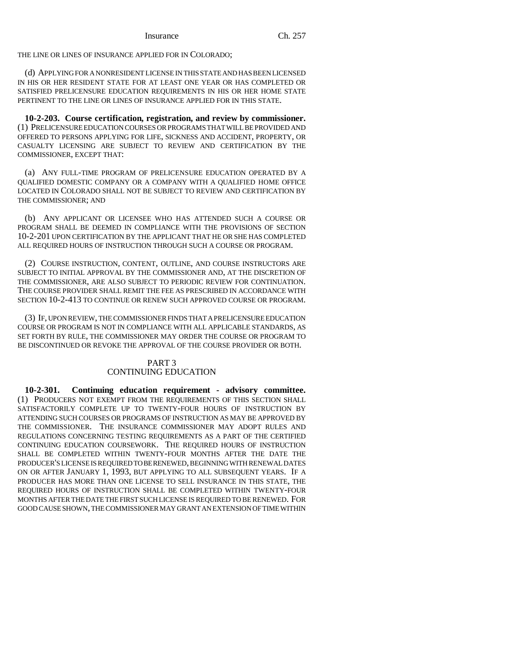THE LINE OR LINES OF INSURANCE APPLIED FOR IN COLORADO;

(d) APPLYING FOR A NONRESIDENT LICENSE IN THIS STATE AND HAS BEEN LICENSED IN HIS OR HER RESIDENT STATE FOR AT LEAST ONE YEAR OR HAS COMPLETED OR SATISFIED PRELICENSURE EDUCATION REQUIREMENTS IN HIS OR HER HOME STATE PERTINENT TO THE LINE OR LINES OF INSURANCE APPLIED FOR IN THIS STATE.

**10-2-203. Course certification, registration, and review by commissioner.** (1) PRELICENSURE EDUCATION COURSES OR PROGRAMS THAT WILL BE PROVIDED AND OFFERED TO PERSONS APPLYING FOR LIFE, SICKNESS AND ACCIDENT, PROPERTY, OR CASUALTY LICENSING ARE SUBJECT TO REVIEW AND CERTIFICATION BY THE COMMISSIONER, EXCEPT THAT:

(a) ANY FULL-TIME PROGRAM OF PRELICENSURE EDUCATION OPERATED BY A QUALIFIED DOMESTIC COMPANY OR A COMPANY WITH A QUALIFIED HOME OFFICE LOCATED IN COLORADO SHALL NOT BE SUBJECT TO REVIEW AND CERTIFICATION BY THE COMMISSIONER; AND

(b) ANY APPLICANT OR LICENSEE WHO HAS ATTENDED SUCH A COURSE OR PROGRAM SHALL BE DEEMED IN COMPLIANCE WITH THE PROVISIONS OF SECTION 10-2-201 UPON CERTIFICATION BY THE APPLICANT THAT HE OR SHE HAS COMPLETED ALL REQUIRED HOURS OF INSTRUCTION THROUGH SUCH A COURSE OR PROGRAM.

(2) COURSE INSTRUCTION, CONTENT, OUTLINE, AND COURSE INSTRUCTORS ARE SUBJECT TO INITIAL APPROVAL BY THE COMMISSIONER AND, AT THE DISCRETION OF THE COMMISSIONER, ARE ALSO SUBJECT TO PERIODIC REVIEW FOR CONTINUATION. THE COURSE PROVIDER SHALL REMIT THE FEE AS PRESCRIBED IN ACCORDANCE WITH SECTION 10-2-413 TO CONTINUE OR RENEW SUCH APPROVED COURSE OR PROGRAM.

(3) IF, UPON REVIEW, THE COMMISSIONER FINDS THAT A PRELICENSURE EDUCATION COURSE OR PROGRAM IS NOT IN COMPLIANCE WITH ALL APPLICABLE STANDARDS, AS SET FORTH BY RULE, THE COMMISSIONER MAY ORDER THE COURSE OR PROGRAM TO BE DISCONTINUED OR REVOKE THE APPROVAL OF THE COURSE PROVIDER OR BOTH.

# PART 3 CONTINUING EDUCATION

**10-2-301. Continuing education requirement - advisory committee.** (1) PRODUCERS NOT EXEMPT FROM THE REQUIREMENTS OF THIS SECTION SHALL SATISFACTORILY COMPLETE UP TO TWENTY-FOUR HOURS OF INSTRUCTION BY ATTENDING SUCH COURSES OR PROGRAMS OF INSTRUCTION AS MAY BE APPROVED BY THE COMMISSIONER. THE INSURANCE COMMISSIONER MAY ADOPT RULES AND REGULATIONS CONCERNING TESTING REQUIREMENTS AS A PART OF THE CERTIFIED CONTINUING EDUCATION COURSEWORK. THE REQUIRED HOURS OF INSTRUCTION SHALL BE COMPLETED WITHIN TWENTY-FOUR MONTHS AFTER THE DATE THE PRODUCER'S LICENSE IS REQUIRED TO BE RENEWED, BEGINNING WITH RENEWAL DATES ON OR AFTER JANUARY 1, 1993, BUT APPLYING TO ALL SUBSEQUENT YEARS. IF A PRODUCER HAS MORE THAN ONE LICENSE TO SELL INSURANCE IN THIS STATE, THE REQUIRED HOURS OF INSTRUCTION SHALL BE COMPLETED WITHIN TWENTY-FOUR MONTHS AFTER THE DATE THE FIRST SUCH LICENSE IS REQUIRED TO BE RENEWED. FOR GOOD CAUSE SHOWN, THE COMMISSIONER MAY GRANT AN EXTENSION OF TIME WITHIN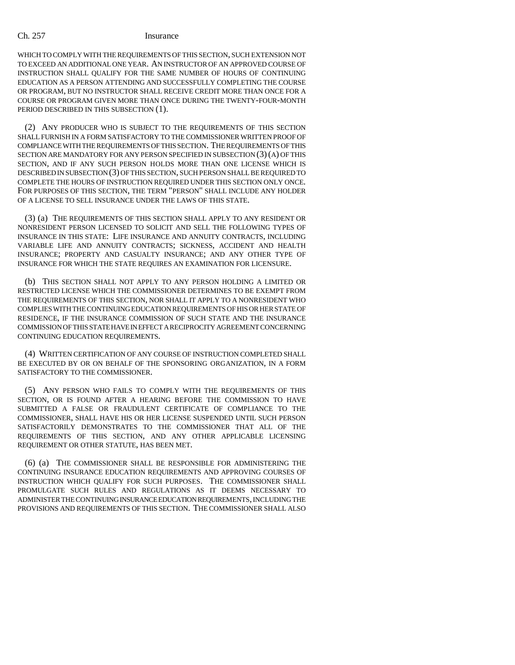WHICH TO COMPLY WITH THE REQUIREMENTS OF THIS SECTION, SUCH EXTENSION NOT TO EXCEED AN ADDITIONAL ONE YEAR. AN INSTRUCTOR OF AN APPROVED COURSE OF INSTRUCTION SHALL QUALIFY FOR THE SAME NUMBER OF HOURS OF CONTINUING EDUCATION AS A PERSON ATTENDING AND SUCCESSFULLY COMPLETING THE COURSE OR PROGRAM, BUT NO INSTRUCTOR SHALL RECEIVE CREDIT MORE THAN ONCE FOR A COURSE OR PROGRAM GIVEN MORE THAN ONCE DURING THE TWENTY-FOUR-MONTH PERIOD DESCRIBED IN THIS SUBSECTION (1).

(2) ANY PRODUCER WHO IS SUBJECT TO THE REQUIREMENTS OF THIS SECTION SHALL FURNISH IN A FORM SATISFACTORY TO THE COMMISSIONER WRITTEN PROOF OF COMPLIANCE WITH THE REQUIREMENTS OF THIS SECTION. THE REQUIREMENTS OF THIS SECTION ARE MANDATORY FOR ANY PERSON SPECIFIED IN SUBSECTION (3)(A) OF THIS SECTION, AND IF ANY SUCH PERSON HOLDS MORE THAN ONE LICENSE WHICH IS DESCRIBED IN SUBSECTION (3) OF THIS SECTION, SUCH PERSON SHALL BE REQUIRED TO COMPLETE THE HOURS OF INSTRUCTION REQUIRED UNDER THIS SECTION ONLY ONCE. FOR PURPOSES OF THIS SECTION, THE TERM "PERSON" SHALL INCLUDE ANY HOLDER OF A LICENSE TO SELL INSURANCE UNDER THE LAWS OF THIS STATE.

(3) (a) THE REQUIREMENTS OF THIS SECTION SHALL APPLY TO ANY RESIDENT OR NONRESIDENT PERSON LICENSED TO SOLICIT AND SELL THE FOLLOWING TYPES OF INSURANCE IN THIS STATE: LIFE INSURANCE AND ANNUITY CONTRACTS, INCLUDING VARIABLE LIFE AND ANNUITY CONTRACTS; SICKNESS, ACCIDENT AND HEALTH INSURANCE; PROPERTY AND CASUALTY INSURANCE; AND ANY OTHER TYPE OF INSURANCE FOR WHICH THE STATE REQUIRES AN EXAMINATION FOR LICENSURE.

(b) THIS SECTION SHALL NOT APPLY TO ANY PERSON HOLDING A LIMITED OR RESTRICTED LICENSE WHICH THE COMMISSIONER DETERMINES TO BE EXEMPT FROM THE REQUIREMENTS OF THIS SECTION, NOR SHALL IT APPLY TO A NONRESIDENT WHO COMPLIES WITH THE CONTINUING EDUCATION REQUIREMENTS OF HIS OR HER STATE OF RESIDENCE, IF THE INSURANCE COMMISSION OF SUCH STATE AND THE INSURANCE COMMISSION OF THIS STATE HAVE IN EFFECT A RECIPROCITY AGREEMENT CONCERNING CONTINUING EDUCATION REQUIREMENTS.

(4) WRITTEN CERTIFICATION OF ANY COURSE OF INSTRUCTION COMPLETED SHALL BE EXECUTED BY OR ON BEHALF OF THE SPONSORING ORGANIZATION, IN A FORM SATISFACTORY TO THE COMMISSIONER.

(5) ANY PERSON WHO FAILS TO COMPLY WITH THE REQUIREMENTS OF THIS SECTION, OR IS FOUND AFTER A HEARING BEFORE THE COMMISSION TO HAVE SUBMITTED A FALSE OR FRAUDULENT CERTIFICATE OF COMPLIANCE TO THE COMMISSIONER, SHALL HAVE HIS OR HER LICENSE SUSPENDED UNTIL SUCH PERSON SATISFACTORILY DEMONSTRATES TO THE COMMISSIONER THAT ALL OF THE REQUIREMENTS OF THIS SECTION, AND ANY OTHER APPLICABLE LICENSING REQUIREMENT OR OTHER STATUTE, HAS BEEN MET.

(6) (a) THE COMMISSIONER SHALL BE RESPONSIBLE FOR ADMINISTERING THE CONTINUING INSURANCE EDUCATION REQUIREMENTS AND APPROVING COURSES OF INSTRUCTION WHICH QUALIFY FOR SUCH PURPOSES. THE COMMISSIONER SHALL PROMULGATE SUCH RULES AND REGULATIONS AS IT DEEMS NECESSARY TO ADMINISTER THE CONTINUING INSURANCE EDUCATION REQUIREMENTS, INCLUDING THE PROVISIONS AND REQUIREMENTS OF THIS SECTION. THE COMMISSIONER SHALL ALSO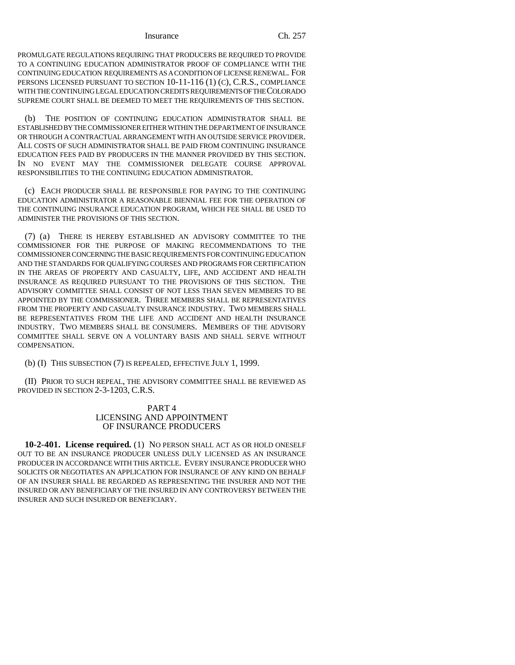#### Insurance Ch. 257

PROMULGATE REGULATIONS REQUIRING THAT PRODUCERS BE REQUIRED TO PROVIDE TO A CONTINUING EDUCATION ADMINISTRATOR PROOF OF COMPLIANCE WITH THE CONTINUING EDUCATION REQUIREMENTS AS A CONDITION OF LICENSE RENEWAL. FOR PERSONS LICENSED PURSUANT TO SECTION 10-11-116 (1) (C), C.R.S., COMPLIANCE WITH THE CONTINUING LEGAL EDUCATION CREDITS REQUIREMENTS OF THE COLORADO SUPREME COURT SHALL BE DEEMED TO MEET THE REQUIREMENTS OF THIS SECTION.

(b) THE POSITION OF CONTINUING EDUCATION ADMINISTRATOR SHALL BE ESTABLISHED BY THE COMMISSIONER EITHER WITHIN THE DEPARTMENT OF INSURANCE OR THROUGH A CONTRACTUAL ARRANGEMENT WITH AN OUTSIDE SERVICE PROVIDER. ALL COSTS OF SUCH ADMINISTRATOR SHALL BE PAID FROM CONTINUING INSURANCE EDUCATION FEES PAID BY PRODUCERS IN THE MANNER PROVIDED BY THIS SECTION. IN NO EVENT MAY THE COMMISSIONER DELEGATE COURSE APPROVAL RESPONSIBILITIES TO THE CONTINUING EDUCATION ADMINISTRATOR.

(c) EACH PRODUCER SHALL BE RESPONSIBLE FOR PAYING TO THE CONTINUING EDUCATION ADMINISTRATOR A REASONABLE BIENNIAL FEE FOR THE OPERATION OF THE CONTINUING INSURANCE EDUCATION PROGRAM, WHICH FEE SHALL BE USED TO ADMINISTER THE PROVISIONS OF THIS SECTION.

(7) (a) THERE IS HEREBY ESTABLISHED AN ADVISORY COMMITTEE TO THE COMMISSIONER FOR THE PURPOSE OF MAKING RECOMMENDATIONS TO THE COMMISSIONER CONCERNING THE BASIC REQUIREMENTS FOR CONTINUING EDUCATION AND THE STANDARDS FOR QUALIFYING COURSES AND PROGRAMS FOR CERTIFICATION IN THE AREAS OF PROPERTY AND CASUALTY, LIFE, AND ACCIDENT AND HEALTH INSURANCE AS REQUIRED PURSUANT TO THE PROVISIONS OF THIS SECTION. THE ADVISORY COMMITTEE SHALL CONSIST OF NOT LESS THAN SEVEN MEMBERS TO BE APPOINTED BY THE COMMISSIONER. THREE MEMBERS SHALL BE REPRESENTATIVES FROM THE PROPERTY AND CASUALTY INSURANCE INDUSTRY. TWO MEMBERS SHALL BE REPRESENTATIVES FROM THE LIFE AND ACCIDENT AND HEALTH INSURANCE INDUSTRY. TWO MEMBERS SHALL BE CONSUMERS. MEMBERS OF THE ADVISORY COMMITTEE SHALL SERVE ON A VOLUNTARY BASIS AND SHALL SERVE WITHOUT COMPENSATION.

(b) (I) THIS SUBSECTION (7) IS REPEALED, EFFECTIVE JULY 1, 1999.

(II) PRIOR TO SUCH REPEAL, THE ADVISORY COMMITTEE SHALL BE REVIEWED AS PROVIDED IN SECTION 2-3-1203, C.R.S.

# PART 4 LICENSING AND APPOINTMENT OF INSURANCE PRODUCERS

**10-2-401. License required.** (1) NO PERSON SHALL ACT AS OR HOLD ONESELF OUT TO BE AN INSURANCE PRODUCER UNLESS DULY LICENSED AS AN INSURANCE PRODUCER IN ACCORDANCE WITH THIS ARTICLE. EVERY INSURANCE PRODUCER WHO SOLICITS OR NEGOTIATES AN APPLICATION FOR INSURANCE OF ANY KIND ON BEHALF OF AN INSURER SHALL BE REGARDED AS REPRESENTING THE INSURER AND NOT THE INSURED OR ANY BENEFICIARY OF THE INSURED IN ANY CONTROVERSY BETWEEN THE INSURER AND SUCH INSURED OR BENEFICIARY.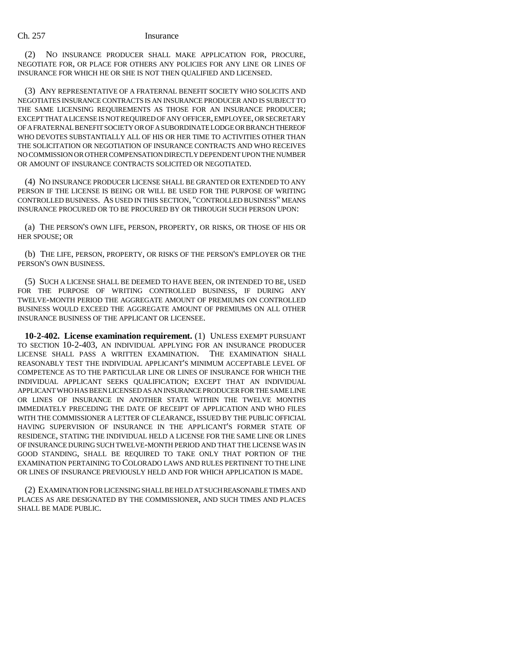(2) NO INSURANCE PRODUCER SHALL MAKE APPLICATION FOR, PROCURE, NEGOTIATE FOR, OR PLACE FOR OTHERS ANY POLICIES FOR ANY LINE OR LINES OF INSURANCE FOR WHICH HE OR SHE IS NOT THEN QUALIFIED AND LICENSED.

(3) ANY REPRESENTATIVE OF A FRATERNAL BENEFIT SOCIETY WHO SOLICITS AND NEGOTIATES INSURANCE CONTRACTS IS AN INSURANCE PRODUCER AND IS SUBJECT TO THE SAME LICENSING REQUIREMENTS AS THOSE FOR AN INSURANCE PRODUCER; EXCEPT THAT A LICENSE IS NOT REQUIRED OF ANY OFFICER, EMPLOYEE, OR SECRETARY OF A FRATERNAL BENEFIT SOCIETY OR OF A SUBORDINATE LODGE OR BRANCH THEREOF WHO DEVOTES SUBSTANTIALLY ALL OF HIS OR HER TIME TO ACTIVITIES OTHER THAN THE SOLICITATION OR NEGOTIATION OF INSURANCE CONTRACTS AND WHO RECEIVES NO COMMISSION OR OTHER COMPENSATION DIRECTLY DEPENDENT UPON THE NUMBER OR AMOUNT OF INSURANCE CONTRACTS SOLICITED OR NEGOTIATED.

(4) NO INSURANCE PRODUCER LICENSE SHALL BE GRANTED OR EXTENDED TO ANY PERSON IF THE LICENSE IS BEING OR WILL BE USED FOR THE PURPOSE OF WRITING CONTROLLED BUSINESS. AS USED IN THIS SECTION, "CONTROLLED BUSINESS" MEANS INSURANCE PROCURED OR TO BE PROCURED BY OR THROUGH SUCH PERSON UPON:

(a) THE PERSON'S OWN LIFE, PERSON, PROPERTY, OR RISKS, OR THOSE OF HIS OR HER SPOUSE; OR

(b) THE LIFE, PERSON, PROPERTY, OR RISKS OF THE PERSON'S EMPLOYER OR THE PERSON'S OWN BUSINESS.

(5) SUCH A LICENSE SHALL BE DEEMED TO HAVE BEEN, OR INTENDED TO BE, USED FOR THE PURPOSE OF WRITING CONTROLLED BUSINESS, IF DURING ANY TWELVE-MONTH PERIOD THE AGGREGATE AMOUNT OF PREMIUMS ON CONTROLLED BUSINESS WOULD EXCEED THE AGGREGATE AMOUNT OF PREMIUMS ON ALL OTHER INSURANCE BUSINESS OF THE APPLICANT OR LICENSEE.

**10-2-402. License examination requirement.** (1) UNLESS EXEMPT PURSUANT TO SECTION 10-2-403, AN INDIVIDUAL APPLYING FOR AN INSURANCE PRODUCER LICENSE SHALL PASS A WRITTEN EXAMINATION. THE EXAMINATION SHALL REASONABLY TEST THE INDIVIDUAL APPLICANT'S MINIMUM ACCEPTABLE LEVEL OF COMPETENCE AS TO THE PARTICULAR LINE OR LINES OF INSURANCE FOR WHICH THE INDIVIDUAL APPLICANT SEEKS QUALIFICATION; EXCEPT THAT AN INDIVIDUAL APPLICANT WHO HAS BEEN LICENSED AS AN INSURANCE PRODUCER FOR THE SAME LINE OR LINES OF INSURANCE IN ANOTHER STATE WITHIN THE TWELVE MONTHS IMMEDIATELY PRECEDING THE DATE OF RECEIPT OF APPLICATION AND WHO FILES WITH THE COMMISSIONER A LETTER OF CLEARANCE, ISSUED BY THE PUBLIC OFFICIAL HAVING SUPERVISION OF INSURANCE IN THE APPLICANT'S FORMER STATE OF RESIDENCE, STATING THE INDIVIDUAL HELD A LICENSE FOR THE SAME LINE OR LINES OF INSURANCE DURING SUCH TWELVE-MONTH PERIOD AND THAT THE LICENSE WAS IN GOOD STANDING, SHALL BE REQUIRED TO TAKE ONLY THAT PORTION OF THE EXAMINATION PERTAINING TO COLORADO LAWS AND RULES PERTINENT TO THE LINE OR LINES OF INSURANCE PREVIOUSLY HELD AND FOR WHICH APPLICATION IS MADE.

(2) EXAMINATION FOR LICENSING SHALL BE HELD AT SUCH REASONABLE TIMES AND PLACES AS ARE DESIGNATED BY THE COMMISSIONER, AND SUCH TIMES AND PLACES SHALL BE MADE PUBLIC.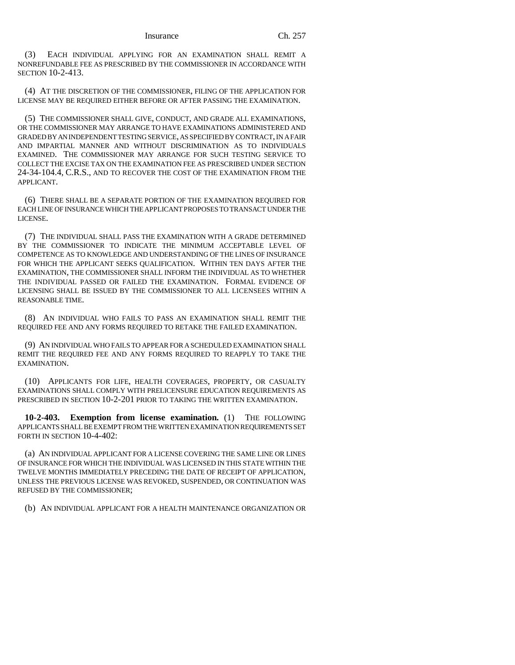(3) EACH INDIVIDUAL APPLYING FOR AN EXAMINATION SHALL REMIT A NONREFUNDABLE FEE AS PRESCRIBED BY THE COMMISSIONER IN ACCORDANCE WITH SECTION 10-2-413.

(4) AT THE DISCRETION OF THE COMMISSIONER, FILING OF THE APPLICATION FOR LICENSE MAY BE REQUIRED EITHER BEFORE OR AFTER PASSING THE EXAMINATION.

(5) THE COMMISSIONER SHALL GIVE, CONDUCT, AND GRADE ALL EXAMINATIONS, OR THE COMMISSIONER MAY ARRANGE TO HAVE EXAMINATIONS ADMINISTERED AND GRADED BY AN INDEPENDENT TESTING SERVICE, AS SPECIFIED BY CONTRACT, IN A FAIR AND IMPARTIAL MANNER AND WITHOUT DISCRIMINATION AS TO INDIVIDUALS EXAMINED. THE COMMISSIONER MAY ARRANGE FOR SUCH TESTING SERVICE TO COLLECT THE EXCISE TAX ON THE EXAMINATION FEE AS PRESCRIBED UNDER SECTION 24-34-104.4, C.R.S., AND TO RECOVER THE COST OF THE EXAMINATION FROM THE APPLICANT.

(6) THERE SHALL BE A SEPARATE PORTION OF THE EXAMINATION REQUIRED FOR EACH LINE OF INSURANCE WHICH THE APPLICANT PROPOSES TO TRANSACT UNDER THE LICENSE.

(7) THE INDIVIDUAL SHALL PASS THE EXAMINATION WITH A GRADE DETERMINED BY THE COMMISSIONER TO INDICATE THE MINIMUM ACCEPTABLE LEVEL OF COMPETENCE AS TO KNOWLEDGE AND UNDERSTANDING OF THE LINES OF INSURANCE FOR WHICH THE APPLICANT SEEKS QUALIFICATION. WITHIN TEN DAYS AFTER THE EXAMINATION, THE COMMISSIONER SHALL INFORM THE INDIVIDUAL AS TO WHETHER THE INDIVIDUAL PASSED OR FAILED THE EXAMINATION. FORMAL EVIDENCE OF LICENSING SHALL BE ISSUED BY THE COMMISSIONER TO ALL LICENSEES WITHIN A REASONABLE TIME.

(8) AN INDIVIDUAL WHO FAILS TO PASS AN EXAMINATION SHALL REMIT THE REQUIRED FEE AND ANY FORMS REQUIRED TO RETAKE THE FAILED EXAMINATION.

(9) AN INDIVIDUAL WHO FAILS TO APPEAR FOR A SCHEDULED EXAMINATION SHALL REMIT THE REQUIRED FEE AND ANY FORMS REQUIRED TO REAPPLY TO TAKE THE EXAMINATION.

(10) APPLICANTS FOR LIFE, HEALTH COVERAGES, PROPERTY, OR CASUALTY EXAMINATIONS SHALL COMPLY WITH PRELICENSURE EDUCATION REQUIREMENTS AS PRESCRIBED IN SECTION 10-2-201 PRIOR TO TAKING THE WRITTEN EXAMINATION.

**10-2-403. Exemption from license examination.** (1) THE FOLLOWING APPLICANTS SHALL BE EXEMPT FROM THE WRITTEN EXAMINATION REQUIREMENTS SET FORTH IN SECTION 10-4-402:

(a) AN INDIVIDUAL APPLICANT FOR A LICENSE COVERING THE SAME LINE OR LINES OF INSURANCE FOR WHICH THE INDIVIDUAL WAS LICENSED IN THIS STATE WITHIN THE TWELVE MONTHS IMMEDIATELY PRECEDING THE DATE OF RECEIPT OF APPLICATION, UNLESS THE PREVIOUS LICENSE WAS REVOKED, SUSPENDED, OR CONTINUATION WAS REFUSED BY THE COMMISSIONER;

(b) AN INDIVIDUAL APPLICANT FOR A HEALTH MAINTENANCE ORGANIZATION OR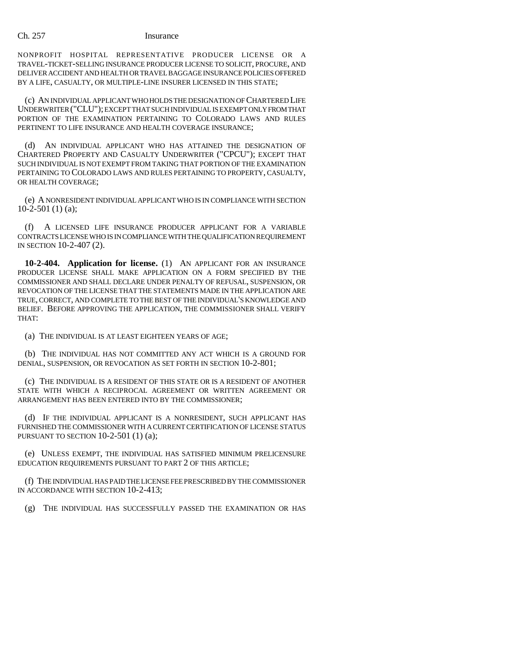NONPROFIT HOSPITAL REPRESENTATIVE PRODUCER LICENSE OR A TRAVEL-TICKET-SELLING INSURANCE PRODUCER LICENSE TO SOLICIT, PROCURE, AND DELIVER ACCIDENT AND HEALTH OR TRAVEL BAGGAGE INSURANCE POLICIES OFFERED BY A LIFE, CASUALTY, OR MULTIPLE-LINE INSURER LICENSED IN THIS STATE;

(c) AN INDIVIDUAL APPLICANT WHO HOLDS THE DESIGNATION OF CHARTERED LIFE UNDERWRITER ("CLU"); EXCEPT THAT SUCH INDIVIDUAL IS EXEMPT ONLY FROM THAT PORTION OF THE EXAMINATION PERTAINING TO COLORADO LAWS AND RULES PERTINENT TO LIFE INSURANCE AND HEALTH COVERAGE INSURANCE;

(d) AN INDIVIDUAL APPLICANT WHO HAS ATTAINED THE DESIGNATION OF CHARTERED PROPERTY AND CASUALTY UNDERWRITER ("CPCU"); EXCEPT THAT SUCH INDIVIDUAL IS NOT EXEMPT FROM TAKING THAT PORTION OF THE EXAMINATION PERTAINING TO COLORADO LAWS AND RULES PERTAINING TO PROPERTY, CASUALTY, OR HEALTH COVERAGE;

(e) A NONRESIDENT INDIVIDUAL APPLICANT WHO IS IN COMPLIANCE WITH SECTION  $10-2-501(1)$  (a);

(f) A LICENSED LIFE INSURANCE PRODUCER APPLICANT FOR A VARIABLE CONTRACTS LICENSE WHO IS IN COMPLIANCE WITH THE QUALIFICATION REQUIREMENT IN SECTION 10-2-407 (2).

**10-2-404. Application for license.** (1) AN APPLICANT FOR AN INSURANCE PRODUCER LICENSE SHALL MAKE APPLICATION ON A FORM SPECIFIED BY THE COMMISSIONER AND SHALL DECLARE UNDER PENALTY OF REFUSAL, SUSPENSION, OR REVOCATION OF THE LICENSE THAT THE STATEMENTS MADE IN THE APPLICATION ARE TRUE, CORRECT, AND COMPLETE TO THE BEST OF THE INDIVIDUAL'S KNOWLEDGE AND BELIEF. BEFORE APPROVING THE APPLICATION, THE COMMISSIONER SHALL VERIFY THAT:

(a) THE INDIVIDUAL IS AT LEAST EIGHTEEN YEARS OF AGE;

(b) THE INDIVIDUAL HAS NOT COMMITTED ANY ACT WHICH IS A GROUND FOR DENIAL, SUSPENSION, OR REVOCATION AS SET FORTH IN SECTION 10-2-801;

(c) THE INDIVIDUAL IS A RESIDENT OF THIS STATE OR IS A RESIDENT OF ANOTHER STATE WITH WHICH A RECIPROCAL AGREEMENT OR WRITTEN AGREEMENT OR ARRANGEMENT HAS BEEN ENTERED INTO BY THE COMMISSIONER;

(d) IF THE INDIVIDUAL APPLICANT IS A NONRESIDENT, SUCH APPLICANT HAS FURNISHED THE COMMISSIONER WITH A CURRENT CERTIFICATION OF LICENSE STATUS PURSUANT TO SECTION 10-2-501 (1) (a);

(e) UNLESS EXEMPT, THE INDIVIDUAL HAS SATISFIED MINIMUM PRELICENSURE EDUCATION REQUIREMENTS PURSUANT TO PART 2 OF THIS ARTICLE;

(f) THE INDIVIDUAL HAS PAID THE LICENSE FEE PRESCRIBED BY THE COMMISSIONER IN ACCORDANCE WITH SECTION 10-2-413;

(g) THE INDIVIDUAL HAS SUCCESSFULLY PASSED THE EXAMINATION OR HAS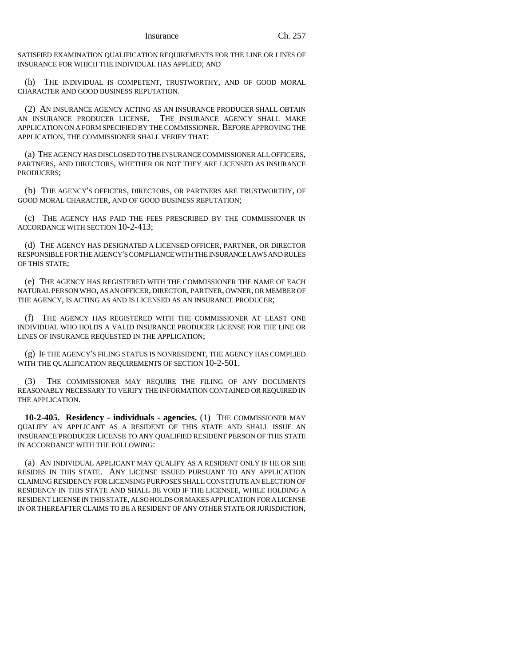SATISFIED EXAMINATION QUALIFICATION REQUIREMENTS FOR THE LINE OR LINES OF INSURANCE FOR WHICH THE INDIVIDUAL HAS APPLIED; AND

(h) THE INDIVIDUAL IS COMPETENT, TRUSTWORTHY, AND OF GOOD MORAL CHARACTER AND GOOD BUSINESS REPUTATION.

(2) AN INSURANCE AGENCY ACTING AS AN INSURANCE PRODUCER SHALL OBTAIN AN INSURANCE PRODUCER LICENSE. THE INSURANCE AGENCY SHALL MAKE APPLICATION ON A FORM SPECIFIED BY THE COMMISSIONER. BEFORE APPROVING THE APPLICATION, THE COMMISSIONER SHALL VERIFY THAT:

(a) THE AGENCY HAS DISCLOSED TO THE INSURANCE COMMISSIONER ALL OFFICERS, PARTNERS, AND DIRECTORS, WHETHER OR NOT THEY ARE LICENSED AS INSURANCE PRODUCERS;

(b) THE AGENCY'S OFFICERS, DIRECTORS, OR PARTNERS ARE TRUSTWORTHY, OF GOOD MORAL CHARACTER, AND OF GOOD BUSINESS REPUTATION;

(c) THE AGENCY HAS PAID THE FEES PRESCRIBED BY THE COMMISSIONER IN ACCORDANCE WITH SECTION 10-2-413;

(d) THE AGENCY HAS DESIGNATED A LICENSED OFFICER, PARTNER, OR DIRECTOR RESPONSIBLE FOR THE AGENCY'S COMPLIANCE WITH THE INSURANCE LAWS AND RULES OF THIS STATE;

(e) THE AGENCY HAS REGISTERED WITH THE COMMISSIONER THE NAME OF EACH NATURAL PERSON WHO, AS AN OFFICER, DIRECTOR, PARTNER, OWNER, OR MEMBER OF THE AGENCY, IS ACTING AS AND IS LICENSED AS AN INSURANCE PRODUCER;

(f) THE AGENCY HAS REGISTERED WITH THE COMMISSIONER AT LEAST ONE INDIVIDUAL WHO HOLDS A VALID INSURANCE PRODUCER LICENSE FOR THE LINE OR LINES OF INSURANCE REQUESTED IN THE APPLICATION;

(g) IF THE AGENCY'S FILING STATUS IS NONRESIDENT, THE AGENCY HAS COMPLIED WITH THE QUALIFICATION REQUIREMENTS OF SECTION  $10$ -2-501.

THE COMMISSIONER MAY REQUIRE THE FILING OF ANY DOCUMENTS REASONABLY NECESSARY TO VERIFY THE INFORMATION CONTAINED OR REQUIRED IN THE APPLICATION.

**10-2-405. Residency - individuals - agencies.** (1) THE COMMISSIONER MAY QUALIFY AN APPLICANT AS A RESIDENT OF THIS STATE AND SHALL ISSUE AN INSURANCE PRODUCER LICENSE TO ANY QUALIFIED RESIDENT PERSON OF THIS STATE IN ACCORDANCE WITH THE FOLLOWING:

(a) AN INDIVIDUAL APPLICANT MAY QUALIFY AS A RESIDENT ONLY IF HE OR SHE RESIDES IN THIS STATE. ANY LICENSE ISSUED PURSUANT TO ANY APPLICATION CLAIMING RESIDENCY FOR LICENSING PURPOSES SHALL CONSTITUTE AN ELECTION OF RESIDENCY IN THIS STATE AND SHALL BE VOID IF THE LICENSEE, WHILE HOLDING A RESIDENT LICENSE IN THIS STATE, ALSO HOLDS OR MAKES APPLICATION FOR A LICENSE IN OR THEREAFTER CLAIMS TO BE A RESIDENT OF ANY OTHER STATE OR JURISDICTION,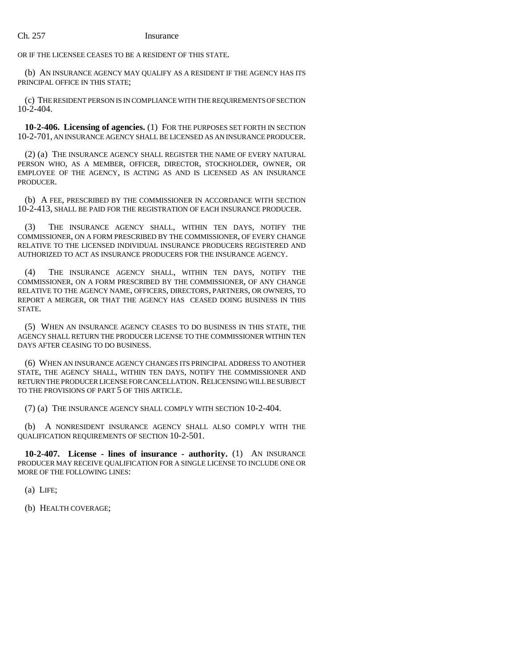OR IF THE LICENSEE CEASES TO BE A RESIDENT OF THIS STATE.

(b) AN INSURANCE AGENCY MAY QUALIFY AS A RESIDENT IF THE AGENCY HAS ITS PRINCIPAL OFFICE IN THIS STATE;

(c) THE RESIDENT PERSON IS IN COMPLIANCE WITH THE REQUIREMENTS OF SECTION 10-2-404.

**10-2-406. Licensing of agencies.** (1) FOR THE PURPOSES SET FORTH IN SECTION 10-2-701, AN INSURANCE AGENCY SHALL BE LICENSED AS AN INSURANCE PRODUCER.

(2) (a) THE INSURANCE AGENCY SHALL REGISTER THE NAME OF EVERY NATURAL PERSON WHO, AS A MEMBER, OFFICER, DIRECTOR, STOCKHOLDER, OWNER, OR EMPLOYEE OF THE AGENCY, IS ACTING AS AND IS LICENSED AS AN INSURANCE PRODUCER.

(b) A FEE, PRESCRIBED BY THE COMMISSIONER IN ACCORDANCE WITH SECTION 10-2-413, SHALL BE PAID FOR THE REGISTRATION OF EACH INSURANCE PRODUCER.

(3) THE INSURANCE AGENCY SHALL, WITHIN TEN DAYS, NOTIFY THE COMMISSIONER, ON A FORM PRESCRIBED BY THE COMMISSIONER, OF EVERY CHANGE RELATIVE TO THE LICENSED INDIVIDUAL INSURANCE PRODUCERS REGISTERED AND AUTHORIZED TO ACT AS INSURANCE PRODUCERS FOR THE INSURANCE AGENCY.

(4) THE INSURANCE AGENCY SHALL, WITHIN TEN DAYS, NOTIFY THE COMMISSIONER, ON A FORM PRESCRIBED BY THE COMMISSIONER, OF ANY CHANGE RELATIVE TO THE AGENCY NAME, OFFICERS, DIRECTORS, PARTNERS, OR OWNERS, TO REPORT A MERGER, OR THAT THE AGENCY HAS CEASED DOING BUSINESS IN THIS STATE.

(5) WHEN AN INSURANCE AGENCY CEASES TO DO BUSINESS IN THIS STATE, THE AGENCY SHALL RETURN THE PRODUCER LICENSE TO THE COMMISSIONER WITHIN TEN DAYS AFTER CEASING TO DO BUSINESS.

(6) WHEN AN INSURANCE AGENCY CHANGES ITS PRINCIPAL ADDRESS TO ANOTHER STATE, THE AGENCY SHALL, WITHIN TEN DAYS, NOTIFY THE COMMISSIONER AND RETURN THE PRODUCER LICENSE FOR CANCELLATION. RELICENSING WILL BE SUBJECT TO THE PROVISIONS OF PART 5 OF THIS ARTICLE.

(7) (a) THE INSURANCE AGENCY SHALL COMPLY WITH SECTION 10-2-404.

(b) A NONRESIDENT INSURANCE AGENCY SHALL ALSO COMPLY WITH THE QUALIFICATION REQUIREMENTS OF SECTION 10-2-501.

**10-2-407. License - lines of insurance - authority.** (1) AN INSURANCE PRODUCER MAY RECEIVE QUALIFICATION FOR A SINGLE LICENSE TO INCLUDE ONE OR MORE OF THE FOLLOWING LINES:

(a) LIFE;

(b) HEALTH COVERAGE;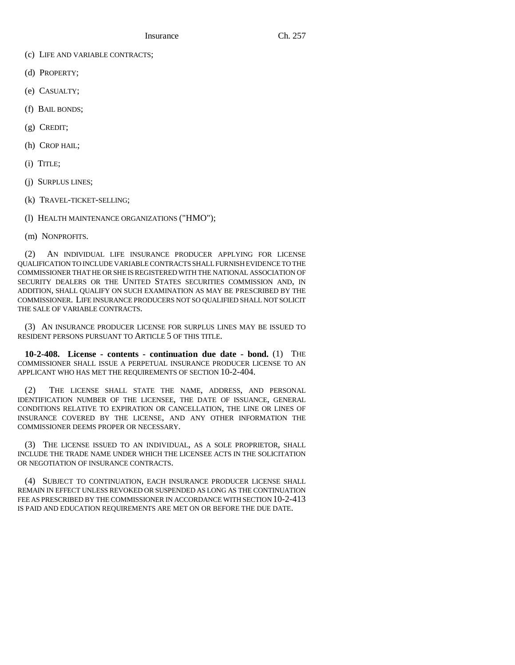Insurance Ch. 257

- (c) LIFE AND VARIABLE CONTRACTS;
- (d) PROPERTY;
- (e) CASUALTY;
- (f) BAIL BONDS;
- (g) CREDIT;
- (h) CROP HAIL;
- (i) TITLE;
- (j) SURPLUS LINES;
- (k) TRAVEL-TICKET-SELLING;

(l) HEALTH MAINTENANCE ORGANIZATIONS ("HMO");

(m) NONPROFITS.

(2) AN INDIVIDUAL LIFE INSURANCE PRODUCER APPLYING FOR LICENSE QUALIFICATION TO INCLUDE VARIABLE CONTRACTS SHALL FURNISH EVIDENCE TO THE COMMISSIONER THAT HE OR SHE IS REGISTERED WITH THE NATIONAL ASSOCIATION OF SECURITY DEALERS OR THE UNITED STATES SECURITIES COMMISSION AND, IN ADDITION, SHALL QUALIFY ON SUCH EXAMINATION AS MAY BE PRESCRIBED BY THE COMMISSIONER. LIFE INSURANCE PRODUCERS NOT SO QUALIFIED SHALL NOT SOLICIT THE SALE OF VARIABLE CONTRACTS.

(3) AN INSURANCE PRODUCER LICENSE FOR SURPLUS LINES MAY BE ISSUED TO RESIDENT PERSONS PURSUANT TO ARTICLE 5 OF THIS TITLE.

**10-2-408. License - contents - continuation due date - bond.** (1) THE COMMISSIONER SHALL ISSUE A PERPETUAL INSURANCE PRODUCER LICENSE TO AN APPLICANT WHO HAS MET THE REQUIREMENTS OF SECTION 10-2-404.

(2) THE LICENSE SHALL STATE THE NAME, ADDRESS, AND PERSONAL IDENTIFICATION NUMBER OF THE LICENSEE, THE DATE OF ISSUANCE, GENERAL CONDITIONS RELATIVE TO EXPIRATION OR CANCELLATION, THE LINE OR LINES OF INSURANCE COVERED BY THE LICENSE, AND ANY OTHER INFORMATION THE COMMISSIONER DEEMS PROPER OR NECESSARY.

(3) THE LICENSE ISSUED TO AN INDIVIDUAL, AS A SOLE PROPRIETOR, SHALL INCLUDE THE TRADE NAME UNDER WHICH THE LICENSEE ACTS IN THE SOLICITATION OR NEGOTIATION OF INSURANCE CONTRACTS.

(4) SUBJECT TO CONTINUATION, EACH INSURANCE PRODUCER LICENSE SHALL REMAIN IN EFFECT UNLESS REVOKED OR SUSPENDED AS LONG AS THE CONTINUATION FEE AS PRESCRIBED BY THE COMMISSIONER IN ACCORDANCE WITH SECTION 10-2-413 IS PAID AND EDUCATION REQUIREMENTS ARE MET ON OR BEFORE THE DUE DATE.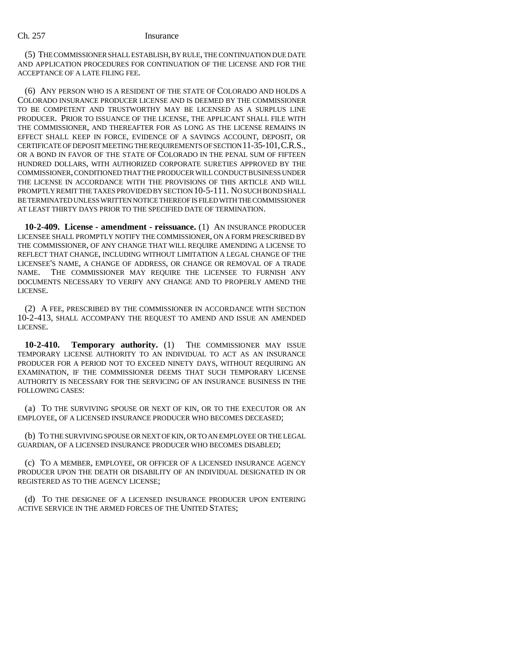(5) THE COMMISSIONER SHALL ESTABLISH, BY RULE, THE CONTINUATION DUE DATE AND APPLICATION PROCEDURES FOR CONTINUATION OF THE LICENSE AND FOR THE ACCEPTANCE OF A LATE FILING FEE.

(6) ANY PERSON WHO IS A RESIDENT OF THE STATE OF COLORADO AND HOLDS A COLORADO INSURANCE PRODUCER LICENSE AND IS DEEMED BY THE COMMISSIONER TO BE COMPETENT AND TRUSTWORTHY MAY BE LICENSED AS A SURPLUS LINE PRODUCER. PRIOR TO ISSUANCE OF THE LICENSE, THE APPLICANT SHALL FILE WITH THE COMMISSIONER, AND THEREAFTER FOR AS LONG AS THE LICENSE REMAINS IN EFFECT SHALL KEEP IN FORCE, EVIDENCE OF A SAVINGS ACCOUNT, DEPOSIT, OR CERTIFICATE OF DEPOSIT MEETING THE REQUIREMENTS OF SECTION 11-35-101,C.R.S., OR A BOND IN FAVOR OF THE STATE OF COLORADO IN THE PENAL SUM OF FIFTEEN HUNDRED DOLLARS, WITH AUTHORIZED CORPORATE SURETIES APPROVED BY THE COMMISSIONER, CONDITIONED THAT THE PRODUCER WILL CONDUCT BUSINESS UNDER THE LICENSE IN ACCORDANCE WITH THE PROVISIONS OF THIS ARTICLE AND WILL PROMPTLY REMIT THE TAXES PROVIDED BY SECTION 10-5-111. NO SUCH BOND SHALL BE TERMINATED UNLESS WRITTEN NOTICE THEREOF IS FILED WITH THE COMMISSIONER AT LEAST THIRTY DAYS PRIOR TO THE SPECIFIED DATE OF TERMINATION.

**10-2-409. License - amendment - reissuance.** (1) AN INSURANCE PRODUCER LICENSEE SHALL PROMPTLY NOTIFY THE COMMISSIONER, ON A FORM PRESCRIBED BY THE COMMISSIONER, OF ANY CHANGE THAT WILL REQUIRE AMENDING A LICENSE TO REFLECT THAT CHANGE, INCLUDING WITHOUT LIMITATION A LEGAL CHANGE OF THE LICENSEE'S NAME, A CHANGE OF ADDRESS, OR CHANGE OR REMOVAL OF A TRADE NAME. THE COMMISSIONER MAY REQUIRE THE LICENSEE TO FURNISH ANY DOCUMENTS NECESSARY TO VERIFY ANY CHANGE AND TO PROPERLY AMEND THE LICENSE.

(2) A FEE, PRESCRIBED BY THE COMMISSIONER IN ACCORDANCE WITH SECTION 10-2-413, SHALL ACCOMPANY THE REQUEST TO AMEND AND ISSUE AN AMENDED LICENSE.

**10-2-410. Temporary authority.** (1) THE COMMISSIONER MAY ISSUE TEMPORARY LICENSE AUTHORITY TO AN INDIVIDUAL TO ACT AS AN INSURANCE PRODUCER FOR A PERIOD NOT TO EXCEED NINETY DAYS, WITHOUT REQUIRING AN EXAMINATION, IF THE COMMISSIONER DEEMS THAT SUCH TEMPORARY LICENSE AUTHORITY IS NECESSARY FOR THE SERVICING OF AN INSURANCE BUSINESS IN THE FOLLOWING CASES:

(a) TO THE SURVIVING SPOUSE OR NEXT OF KIN, OR TO THE EXECUTOR OR AN EMPLOYEE, OF A LICENSED INSURANCE PRODUCER WHO BECOMES DECEASED;

(b) TO THE SURVIVING SPOUSE OR NEXT OF KIN, OR TO AN EMPLOYEE OR THE LEGAL GUARDIAN, OF A LICENSED INSURANCE PRODUCER WHO BECOMES DISABLED;

(c) TO A MEMBER, EMPLOYEE, OR OFFICER OF A LICENSED INSURANCE AGENCY PRODUCER UPON THE DEATH OR DISABILITY OF AN INDIVIDUAL DESIGNATED IN OR REGISTERED AS TO THE AGENCY LICENSE;

(d) TO THE DESIGNEE OF A LICENSED INSURANCE PRODUCER UPON ENTERING ACTIVE SERVICE IN THE ARMED FORCES OF THE UNITED STATES;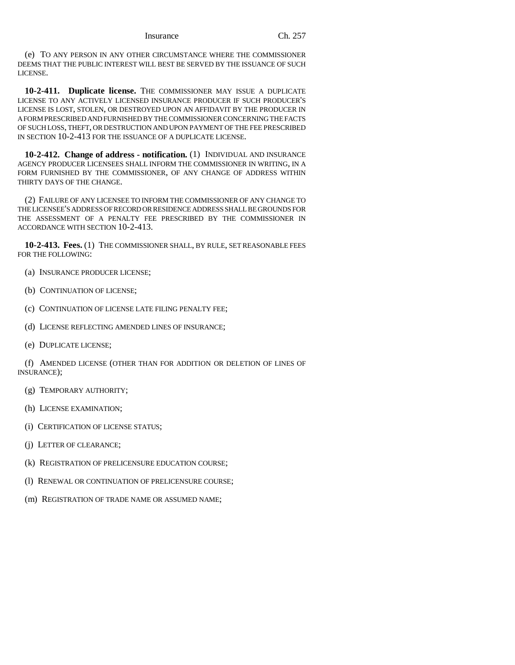(e) TO ANY PERSON IN ANY OTHER CIRCUMSTANCE WHERE THE COMMISSIONER DEEMS THAT THE PUBLIC INTEREST WILL BEST BE SERVED BY THE ISSUANCE OF SUCH LICENSE.

**10-2-411. Duplicate license.** THE COMMISSIONER MAY ISSUE A DUPLICATE LICENSE TO ANY ACTIVELY LICENSED INSURANCE PRODUCER IF SUCH PRODUCER'S LICENSE IS LOST, STOLEN, OR DESTROYED UPON AN AFFIDAVIT BY THE PRODUCER IN A FORM PRESCRIBED AND FURNISHED BY THE COMMISSIONER CONCERNING THE FACTS OF SUCH LOSS, THEFT, OR DESTRUCTION AND UPON PAYMENT OF THE FEE PRESCRIBED IN SECTION 10-2-413 FOR THE ISSUANCE OF A DUPLICATE LICENSE.

**10-2-412. Change of address - notification.** (1) INDIVIDUAL AND INSURANCE AGENCY PRODUCER LICENSEES SHALL INFORM THE COMMISSIONER IN WRITING, IN A FORM FURNISHED BY THE COMMISSIONER, OF ANY CHANGE OF ADDRESS WITHIN THIRTY DAYS OF THE CHANGE.

(2) FAILURE OF ANY LICENSEE TO INFORM THE COMMISSIONER OF ANY CHANGE TO THE LICENSEE'S ADDRESS OF RECORD OR RESIDENCE ADDRESS SHALL BE GROUNDS FOR THE ASSESSMENT OF A PENALTY FEE PRESCRIBED BY THE COMMISSIONER IN ACCORDANCE WITH SECTION 10-2-413.

**10-2-413. Fees.** (1) THE COMMISSIONER SHALL, BY RULE, SET REASONABLE FEES FOR THE FOLLOWING:

- (a) INSURANCE PRODUCER LICENSE;
- (b) CONTINUATION OF LICENSE;
- (c) CONTINUATION OF LICENSE LATE FILING PENALTY FEE;
- (d) LICENSE REFLECTING AMENDED LINES OF INSURANCE;
- (e) DUPLICATE LICENSE;

(f) AMENDED LICENSE (OTHER THAN FOR ADDITION OR DELETION OF LINES OF INSURANCE);

- (g) TEMPORARY AUTHORITY;
- (h) LICENSE EXAMINATION;
- (i) CERTIFICATION OF LICENSE STATUS;
- (j) LETTER OF CLEARANCE;
- (k) REGISTRATION OF PRELICENSURE EDUCATION COURSE;
- (1) RENEWAL OR CONTINUATION OF PRELICENSURE COURSE;
- (m) REGISTRATION OF TRADE NAME OR ASSUMED NAME;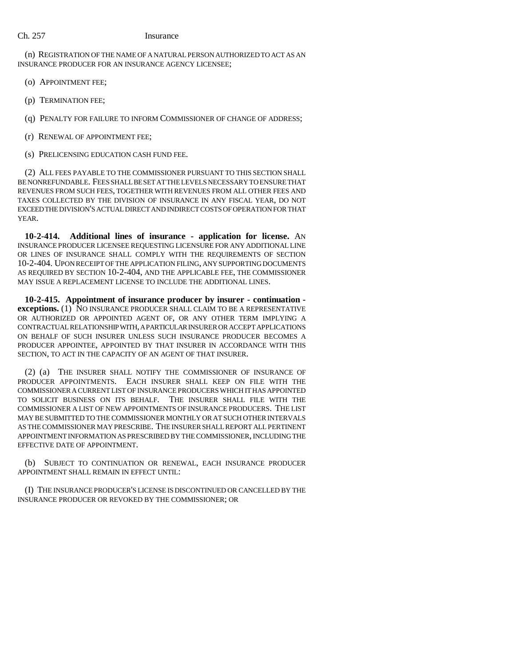(n) REGISTRATION OF THE NAME OF A NATURAL PERSON AUTHORIZED TO ACT AS AN INSURANCE PRODUCER FOR AN INSURANCE AGENCY LICENSEE;

- (o) APPOINTMENT FEE;
- (p) TERMINATION FEE;
- (q) PENALTY FOR FAILURE TO INFORM COMMISSIONER OF CHANGE OF ADDRESS;
- (r) RENEWAL OF APPOINTMENT FEE;
- (s) PRELICENSING EDUCATION CASH FUND FEE.

(2) ALL FEES PAYABLE TO THE COMMISSIONER PURSUANT TO THIS SECTION SHALL BE NONREFUNDABLE. FEES SHALL BE SET AT THE LEVELS NECESSARY TO ENSURE THAT REVENUES FROM SUCH FEES, TOGETHER WITH REVENUES FROM ALL OTHER FEES AND TAXES COLLECTED BY THE DIVISION OF INSURANCE IN ANY FISCAL YEAR, DO NOT EXCEED THE DIVISION'S ACTUAL DIRECT AND INDIRECT COSTS OF OPERATION FOR THAT YEAR.

**10-2-414. Additional lines of insurance - application for license.** AN INSURANCE PRODUCER LICENSEE REQUESTING LICENSURE FOR ANY ADDITIONAL LINE OR LINES OF INSURANCE SHALL COMPLY WITH THE REQUIREMENTS OF SECTION 10-2-404. UPON RECEIPT OF THE APPLICATION FILING, ANY SUPPORTING DOCUMENTS AS REQUIRED BY SECTION 10-2-404, AND THE APPLICABLE FEE, THE COMMISSIONER MAY ISSUE A REPLACEMENT LICENSE TO INCLUDE THE ADDITIONAL LINES.

**10-2-415. Appointment of insurance producer by insurer - continuation exceptions.** (1) NO INSURANCE PRODUCER SHALL CLAIM TO BE A REPRESENTATIVE OR AUTHORIZED OR APPOINTED AGENT OF, OR ANY OTHER TERM IMPLYING A CONTRACTUAL RELATIONSHIP WITH, A PARTICULAR INSURER OR ACCEPT APPLICATIONS ON BEHALF OF SUCH INSURER UNLESS SUCH INSURANCE PRODUCER BECOMES A PRODUCER APPOINTEE, APPOINTED BY THAT INSURER IN ACCORDANCE WITH THIS SECTION, TO ACT IN THE CAPACITY OF AN AGENT OF THAT INSURER.

(2) (a) THE INSURER SHALL NOTIFY THE COMMISSIONER OF INSURANCE OF PRODUCER APPOINTMENTS. EACH INSURER SHALL KEEP ON FILE WITH THE COMMISSIONER A CURRENT LIST OF INSURANCE PRODUCERS WHICH IT HAS APPOINTED TO SOLICIT BUSINESS ON ITS BEHALF. THE INSURER SHALL FILE WITH THE COMMISSIONER A LIST OF NEW APPOINTMENTS OF INSURANCE PRODUCERS. THE LIST MAY BE SUBMITTED TO THE COMMISSIONER MONTHLY OR AT SUCH OTHER INTERVALS AS THE COMMISSIONER MAY PRESCRIBE. THE INSURER SHALL REPORT ALL PERTINENT APPOINTMENT INFORMATION AS PRESCRIBED BY THE COMMISSIONER, INCLUDING THE EFFECTIVE DATE OF APPOINTMENT.

(b) SUBJECT TO CONTINUATION OR RENEWAL, EACH INSURANCE PRODUCER APPOINTMENT SHALL REMAIN IN EFFECT UNTIL:

(I) THE INSURANCE PRODUCER'S LICENSE IS DISCONTINUED OR CANCELLED BY THE INSURANCE PRODUCER OR REVOKED BY THE COMMISSIONER; OR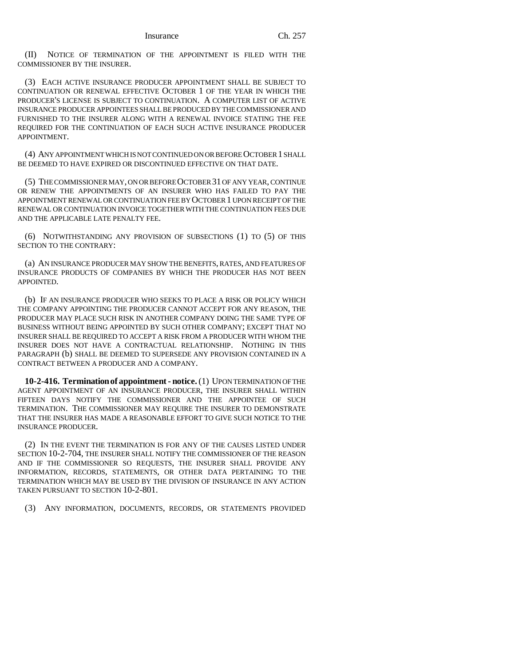(II) NOTICE OF TERMINATION OF THE APPOINTMENT IS FILED WITH THE COMMISSIONER BY THE INSURER.

(3) EACH ACTIVE INSURANCE PRODUCER APPOINTMENT SHALL BE SUBJECT TO CONTINUATION OR RENEWAL EFFECTIVE OCTOBER 1 OF THE YEAR IN WHICH THE PRODUCER'S LICENSE IS SUBJECT TO CONTINUATION. A COMPUTER LIST OF ACTIVE INSURANCE PRODUCER APPOINTEES SHALL BE PRODUCED BY THE COMMISSIONER AND FURNISHED TO THE INSURER ALONG WITH A RENEWAL INVOICE STATING THE FEE REQUIRED FOR THE CONTINUATION OF EACH SUCH ACTIVE INSURANCE PRODUCER APPOINTMENT.

(4) ANY APPOINTMENT WHICH IS NOT CONTINUED ON OR BEFORE OCTOBER 1 SHALL BE DEEMED TO HAVE EXPIRED OR DISCONTINUED EFFECTIVE ON THAT DATE.

(5) THE COMMISSIONER MAY, ON OR BEFORE OCTOBER 31 OF ANY YEAR, CONTINUE OR RENEW THE APPOINTMENTS OF AN INSURER WHO HAS FAILED TO PAY THE APPOINTMENT RENEWAL OR CONTINUATION FEE BY OCTOBER 1 UPON RECEIPT OF THE RENEWAL OR CONTINUATION INVOICE TOGETHER WITH THE CONTINUATION FEES DUE AND THE APPLICABLE LATE PENALTY FEE.

(6) NOTWITHSTANDING ANY PROVISION OF SUBSECTIONS (1) TO (5) OF THIS SECTION TO THE CONTRARY:

(a) AN INSURANCE PRODUCER MAY SHOW THE BENEFITS, RATES, AND FEATURES OF INSURANCE PRODUCTS OF COMPANIES BY WHICH THE PRODUCER HAS NOT BEEN APPOINTED.

(b) IF AN INSURANCE PRODUCER WHO SEEKS TO PLACE A RISK OR POLICY WHICH THE COMPANY APPOINTING THE PRODUCER CANNOT ACCEPT FOR ANY REASON, THE PRODUCER MAY PLACE SUCH RISK IN ANOTHER COMPANY DOING THE SAME TYPE OF BUSINESS WITHOUT BEING APPOINTED BY SUCH OTHER COMPANY; EXCEPT THAT NO INSURER SHALL BE REQUIRED TO ACCEPT A RISK FROM A PRODUCER WITH WHOM THE INSURER DOES NOT HAVE A CONTRACTUAL RELATIONSHIP. NOTHING IN THIS PARAGRAPH (b) SHALL BE DEEMED TO SUPERSEDE ANY PROVISION CONTAINED IN A CONTRACT BETWEEN A PRODUCER AND A COMPANY.

**10-2-416. Termination of appointment - notice.** (1) UPON TERMINATION OF THE AGENT APPOINTMENT OF AN INSURANCE PRODUCER, THE INSURER SHALL WITHIN FIFTEEN DAYS NOTIFY THE COMMISSIONER AND THE APPOINTEE OF SUCH TERMINATION. THE COMMISSIONER MAY REQUIRE THE INSURER TO DEMONSTRATE THAT THE INSURER HAS MADE A REASONABLE EFFORT TO GIVE SUCH NOTICE TO THE INSURANCE PRODUCER.

(2) IN THE EVENT THE TERMINATION IS FOR ANY OF THE CAUSES LISTED UNDER SECTION 10-2-704, THE INSURER SHALL NOTIFY THE COMMISSIONER OF THE REASON AND IF THE COMMISSIONER SO REQUESTS, THE INSURER SHALL PROVIDE ANY INFORMATION, RECORDS, STATEMENTS, OR OTHER DATA PERTAINING TO THE TERMINATION WHICH MAY BE USED BY THE DIVISION OF INSURANCE IN ANY ACTION TAKEN PURSUANT TO SECTION 10-2-801.

(3) ANY INFORMATION, DOCUMENTS, RECORDS, OR STATEMENTS PROVIDED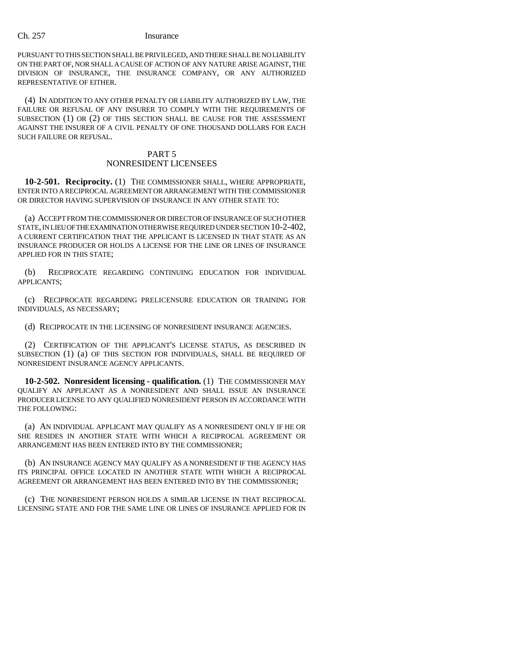PURSUANT TO THIS SECTION SHALL BE PRIVILEGED, AND THERE SHALL BE NO LIABILITY ON THE PART OF, NOR SHALL A CAUSE OF ACTION OF ANY NATURE ARISE AGAINST, THE DIVISION OF INSURANCE, THE INSURANCE COMPANY, OR ANY AUTHORIZED REPRESENTATIVE OF EITHER.

(4) IN ADDITION TO ANY OTHER PENALTY OR LIABILITY AUTHORIZED BY LAW, THE FAILURE OR REFUSAL OF ANY INSURER TO COMPLY WITH THE REQUIREMENTS OF SUBSECTION (1) OR (2) OF THIS SECTION SHALL BE CAUSE FOR THE ASSESSMENT AGAINST THE INSURER OF A CIVIL PENALTY OF ONE THOUSAND DOLLARS FOR EACH SUCH FAILURE OR REFUSAL.

# PART 5 NONRESIDENT LICENSEES

**10-2-501. Reciprocity.** (1) THE COMMISSIONER SHALL, WHERE APPROPRIATE, ENTER INTO A RECIPROCAL AGREEMENT OR ARRANGEMENT WITH THE COMMISSIONER OR DIRECTOR HAVING SUPERVISION OF INSURANCE IN ANY OTHER STATE TO:

(a) ACCEPT FROM THE COMMISSIONER OR DIRECTOR OF INSURANCE OF SUCH OTHER STATE, IN LIEU OF THE EXAMINATION OTHERWISE REQUIRED UNDER SECTION 10-2-402, A CURRENT CERTIFICATION THAT THE APPLICANT IS LICENSED IN THAT STATE AS AN INSURANCE PRODUCER OR HOLDS A LICENSE FOR THE LINE OR LINES OF INSURANCE APPLIED FOR IN THIS STATE;

(b) RECIPROCATE REGARDING CONTINUING EDUCATION FOR INDIVIDUAL APPLICANTS;

(c) RECIPROCATE REGARDING PRELICENSURE EDUCATION OR TRAINING FOR INDIVIDUALS, AS NECESSARY;

(d) RECIPROCATE IN THE LICENSING OF NONRESIDENT INSURANCE AGENCIES.

(2) CERTIFICATION OF THE APPLICANT'S LICENSE STATUS, AS DESCRIBED IN SUBSECTION (1) (a) OF THIS SECTION FOR INDIVIDUALS, SHALL BE REQUIRED OF NONRESIDENT INSURANCE AGENCY APPLICANTS.

**10-2-502. Nonresident licensing - qualification.** (1) THE COMMISSIONER MAY QUALIFY AN APPLICANT AS A NONRESIDENT AND SHALL ISSUE AN INSURANCE PRODUCER LICENSE TO ANY QUALIFIED NONRESIDENT PERSON IN ACCORDANCE WITH THE FOLLOWING:

(a) AN INDIVIDUAL APPLICANT MAY QUALIFY AS A NONRESIDENT ONLY IF HE OR SHE RESIDES IN ANOTHER STATE WITH WHICH A RECIPROCAL AGREEMENT OR ARRANGEMENT HAS BEEN ENTERED INTO BY THE COMMISSIONER;

(b) AN INSURANCE AGENCY MAY QUALIFY AS A NONRESIDENT IF THE AGENCY HAS ITS PRINCIPAL OFFICE LOCATED IN ANOTHER STATE WITH WHICH A RECIPROCAL AGREEMENT OR ARRANGEMENT HAS BEEN ENTERED INTO BY THE COMMISSIONER;

(c) THE NONRESIDENT PERSON HOLDS A SIMILAR LICENSE IN THAT RECIPROCAL LICENSING STATE AND FOR THE SAME LINE OR LINES OF INSURANCE APPLIED FOR IN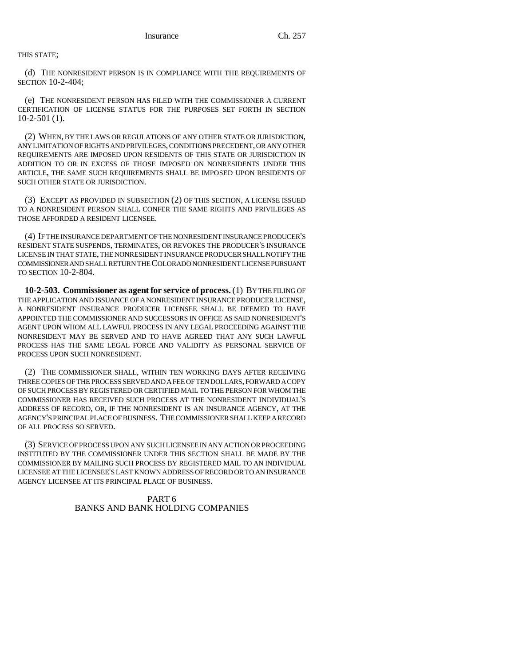THIS STATE;

(d) THE NONRESIDENT PERSON IS IN COMPLIANCE WITH THE REQUIREMENTS OF SECTION 10-2-404;

(e) THE NONRESIDENT PERSON HAS FILED WITH THE COMMISSIONER A CURRENT CERTIFICATION OF LICENSE STATUS FOR THE PURPOSES SET FORTH IN SECTION 10-2-501 (1).

(2) WHEN, BY THE LAWS OR REGULATIONS OF ANY OTHER STATE OR JURISDICTION, ANY LIMITATION OF RIGHTS AND PRIVILEGES, CONDITIONS PRECEDENT, OR ANY OTHER REQUIREMENTS ARE IMPOSED UPON RESIDENTS OF THIS STATE OR JURISDICTION IN ADDITION TO OR IN EXCESS OF THOSE IMPOSED ON NONRESIDENTS UNDER THIS ARTICLE, THE SAME SUCH REQUIREMENTS SHALL BE IMPOSED UPON RESIDENTS OF SUCH OTHER STATE OR JURISDICTION.

(3) EXCEPT AS PROVIDED IN SUBSECTION (2) OF THIS SECTION, A LICENSE ISSUED TO A NONRESIDENT PERSON SHALL CONFER THE SAME RIGHTS AND PRIVILEGES AS THOSE AFFORDED A RESIDENT LICENSEE.

(4) IF THE INSURANCE DEPARTMENT OF THE NONRESIDENT INSURANCE PRODUCER'S RESIDENT STATE SUSPENDS, TERMINATES, OR REVOKES THE PRODUCER'S INSURANCE LICENSE IN THAT STATE, THE NONRESIDENT INSURANCE PRODUCER SHALL NOTIFY THE COMMISSIONER AND SHALL RETURN THE COLORADO NONRESIDENT LICENSE PURSUANT TO SECTION 10-2-804.

**10-2-503. Commissioner as agent for service of process.** (1) BY THE FILING OF THE APPLICATION AND ISSUANCE OF A NONRESIDENT INSURANCE PRODUCER LICENSE, A NONRESIDENT INSURANCE PRODUCER LICENSEE SHALL BE DEEMED TO HAVE APPOINTED THE COMMISSIONER AND SUCCESSORS IN OFFICE AS SAID NONRESIDENT'S AGENT UPON WHOM ALL LAWFUL PROCESS IN ANY LEGAL PROCEEDING AGAINST THE NONRESIDENT MAY BE SERVED AND TO HAVE AGREED THAT ANY SUCH LAWFUL PROCESS HAS THE SAME LEGAL FORCE AND VALIDITY AS PERSONAL SERVICE OF PROCESS UPON SUCH NONRESIDENT.

(2) THE COMMISSIONER SHALL, WITHIN TEN WORKING DAYS AFTER RECEIVING THREE COPIES OF THE PROCESS SERVED AND A FEE OF TEN DOLLARS, FORWARD A COPY OF SUCH PROCESS BY REGISTERED OR CERTIFIED MAIL TO THE PERSON FOR WHOM THE COMMISSIONER HAS RECEIVED SUCH PROCESS AT THE NONRESIDENT INDIVIDUAL'S ADDRESS OF RECORD, OR, IF THE NONRESIDENT IS AN INSURANCE AGENCY, AT THE AGENCY'S PRINCIPAL PLACE OF BUSINESS. THE COMMISSIONER SHALL KEEP A RECORD OF ALL PROCESS SO SERVED.

(3) SERVICE OF PROCESS UPON ANY SUCH LICENSEE IN ANY ACTION OR PROCEEDING INSTITUTED BY THE COMMISSIONER UNDER THIS SECTION SHALL BE MADE BY THE COMMISSIONER BY MAILING SUCH PROCESS BY REGISTERED MAIL TO AN INDIVIDUAL LICENSEE AT THE LICENSEE'S LAST KNOWN ADDRESS OF RECORD OR TO AN INSURANCE AGENCY LICENSEE AT ITS PRINCIPAL PLACE OF BUSINESS.

> PART 6 BANKS AND BANK HOLDING COMPANIES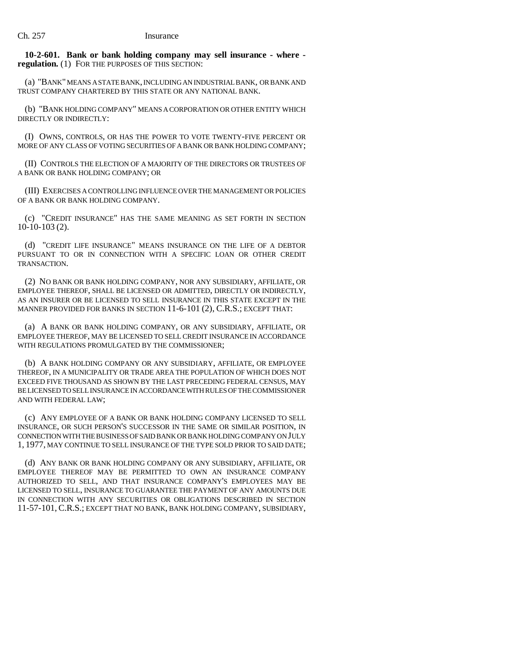**10-2-601. Bank or bank holding company may sell insurance - where regulation.** (1) FOR THE PURPOSES OF THIS SECTION:

(a) "BANK" MEANS A STATE BANK, INCLUDING AN INDUSTRIAL BANK, OR BANK AND TRUST COMPANY CHARTERED BY THIS STATE OR ANY NATIONAL BANK.

(b) "BANK HOLDING COMPANY" MEANS A CORPORATION OR OTHER ENTITY WHICH DIRECTLY OR INDIRECTLY.

(I) OWNS, CONTROLS, OR HAS THE POWER TO VOTE TWENTY-FIVE PERCENT OR MORE OF ANY CLASS OF VOTING SECURITIES OF A BANK OR BANK HOLDING COMPANY;

(II) CONTROLS THE ELECTION OF A MAJORITY OF THE DIRECTORS OR TRUSTEES OF A BANK OR BANK HOLDING COMPANY; OR

(III) EXERCISES A CONTROLLING INFLUENCE OVER THE MANAGEMENT OR POLICIES OF A BANK OR BANK HOLDING COMPANY.

(c) "CREDIT INSURANCE" HAS THE SAME MEANING AS SET FORTH IN SECTION 10-10-103 (2).

(d) "CREDIT LIFE INSURANCE" MEANS INSURANCE ON THE LIFE OF A DEBTOR PURSUANT TO OR IN CONNECTION WITH A SPECIFIC LOAN OR OTHER CREDIT TRANSACTION.

(2) NO BANK OR BANK HOLDING COMPANY, NOR ANY SUBSIDIARY, AFFILIATE, OR EMPLOYEE THEREOF, SHALL BE LICENSED OR ADMITTED, DIRECTLY OR INDIRECTLY, AS AN INSURER OR BE LICENSED TO SELL INSURANCE IN THIS STATE EXCEPT IN THE MANNER PROVIDED FOR BANKS IN SECTION 11-6-101 (2), C.R.S.; EXCEPT THAT:

(a) A BANK OR BANK HOLDING COMPANY, OR ANY SUBSIDIARY, AFFILIATE, OR EMPLOYEE THEREOF, MAY BE LICENSED TO SELL CREDIT INSURANCE IN ACCORDANCE WITH REGULATIONS PROMULGATED BY THE COMMISSIONER;

(b) A BANK HOLDING COMPANY OR ANY SUBSIDIARY, AFFILIATE, OR EMPLOYEE THEREOF, IN A MUNICIPALITY OR TRADE AREA THE POPULATION OF WHICH DOES NOT EXCEED FIVE THOUSAND AS SHOWN BY THE LAST PRECEDING FEDERAL CENSUS, MAY BE LICENSED TO SELL INSURANCE IN ACCORDANCE WITH RULES OF THE COMMISSIONER AND WITH FEDERAL LAW;

(c) ANY EMPLOYEE OF A BANK OR BANK HOLDING COMPANY LICENSED TO SELL INSURANCE, OR SUCH PERSON'S SUCCESSOR IN THE SAME OR SIMILAR POSITION, IN CONNECTION WITH THE BUSINESS OF SAID BANK OR BANK HOLDING COMPANY ON JULY 1, 1977, MAY CONTINUE TO SELL INSURANCE OF THE TYPE SOLD PRIOR TO SAID DATE;

(d) ANY BANK OR BANK HOLDING COMPANY OR ANY SUBSIDIARY, AFFILIATE, OR EMPLOYEE THEREOF MAY BE PERMITTED TO OWN AN INSURANCE COMPANY AUTHORIZED TO SELL, AND THAT INSURANCE COMPANY'S EMPLOYEES MAY BE LICENSED TO SELL, INSURANCE TO GUARANTEE THE PAYMENT OF ANY AMOUNTS DUE IN CONNECTION WITH ANY SECURITIES OR OBLIGATIONS DESCRIBED IN SECTION 11-57-101, C.R.S.; EXCEPT THAT NO BANK, BANK HOLDING COMPANY, SUBSIDIARY,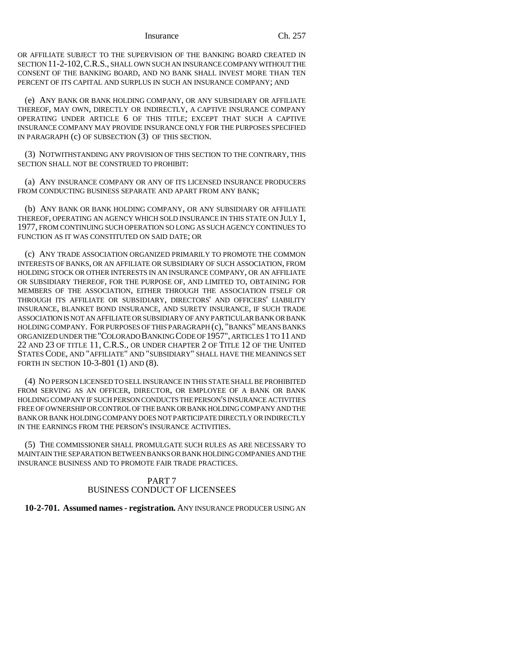Insurance Ch. 257

OR AFFILIATE SUBJECT TO THE SUPERVISION OF THE BANKING BOARD CREATED IN SECTION 11-2-102,C.R.S., SHALL OWN SUCH AN INSURANCE COMPANY WITHOUT THE CONSENT OF THE BANKING BOARD, AND NO BANK SHALL INVEST MORE THAN TEN PERCENT OF ITS CAPITAL AND SURPLUS IN SUCH AN INSURANCE COMPANY; AND

(e) ANY BANK OR BANK HOLDING COMPANY, OR ANY SUBSIDIARY OR AFFILIATE THEREOF, MAY OWN, DIRECTLY OR INDIRECTLY, A CAPTIVE INSURANCE COMPANY OPERATING UNDER ARTICLE 6 OF THIS TITLE; EXCEPT THAT SUCH A CAPTIVE INSURANCE COMPANY MAY PROVIDE INSURANCE ONLY FOR THE PURPOSES SPECIFIED IN PARAGRAPH (c) OF SUBSECTION (3) OF THIS SECTION.

(3) NOTWITHSTANDING ANY PROVISION OF THIS SECTION TO THE CONTRARY, THIS SECTION SHALL NOT BE CONSTRUED TO PROHIBIT:

(a) ANY INSURANCE COMPANY OR ANY OF ITS LICENSED INSURANCE PRODUCERS FROM CONDUCTING BUSINESS SEPARATE AND APART FROM ANY BANK;

(b) ANY BANK OR BANK HOLDING COMPANY, OR ANY SUBSIDIARY OR AFFILIATE THEREOF, OPERATING AN AGENCY WHICH SOLD INSURANCE IN THIS STATE ON JULY 1, 1977, FROM CONTINUING SUCH OPERATION SO LONG AS SUCH AGENCY CONTINUES TO FUNCTION AS IT WAS CONSTITUTED ON SAID DATE; OR

(c) ANY TRADE ASSOCIATION ORGANIZED PRIMARILY TO PROMOTE THE COMMON INTERESTS OF BANKS, OR AN AFFILIATE OR SUBSIDIARY OF SUCH ASSOCIATION, FROM HOLDING STOCK OR OTHER INTERESTS IN AN INSURANCE COMPANY, OR AN AFFILIATE OR SUBSIDIARY THEREOF, FOR THE PURPOSE OF, AND LIMITED TO, OBTAINING FOR MEMBERS OF THE ASSOCIATION, EITHER THROUGH THE ASSOCIATION ITSELF OR THROUGH ITS AFFILIATE OR SUBSIDIARY, DIRECTORS' AND OFFICERS' LIABILITY INSURANCE, BLANKET BOND INSURANCE, AND SURETY INSURANCE, IF SUCH TRADE ASSOCIATION IS NOT AN AFFILIATE OR SUBSIDIARY OF ANY PARTICULAR BANK OR BANK HOLDING COMPANY. FOR PURPOSES OF THIS PARAGRAPH (c), "BANKS" MEANS BANKS ORGANIZED UNDER THE "COLORADO BANKING CODE OF 1957", ARTICLES 1 TO 11 AND 22 AND 23 OF TITLE 11, C.R.S., OR UNDER CHAPTER 2 OF TITLE 12 OF THE UNITED STATES CODE, AND "AFFILIATE" AND "SUBSIDIARY" SHALL HAVE THE MEANINGS SET FORTH IN SECTION 10-3-801 (1) AND (8).

(4) NO PERSON LICENSED TO SELL INSURANCE IN THIS STATE SHALL BE PROHIBITED FROM SERVING AS AN OFFICER, DIRECTOR, OR EMPLOYEE OF A BANK OR BANK HOLDING COMPANY IF SUCH PERSON CONDUCTS THE PERSON'S INSURANCE ACTIVITIES FREE OF OWNERSHIP OR CONTROL OF THE BANK OR BANK HOLDING COMPANY AND THE BANK OR BANK HOLDING COMPANY DOES NOT PARTICIPATE DIRECTLY OR INDIRECTLY IN THE EARNINGS FROM THE PERSON'S INSURANCE ACTIVITIES.

(5) THE COMMISSIONER SHALL PROMULGATE SUCH RULES AS ARE NECESSARY TO MAINTAIN THE SEPARATION BETWEEN BANKS OR BANK HOLDING COMPANIES AND THE INSURANCE BUSINESS AND TO PROMOTE FAIR TRADE PRACTICES.

# PART 7 BUSINESS CONDUCT OF LICENSEES

# **10-2-701. Assumed names - registration.** ANY INSURANCE PRODUCER USING AN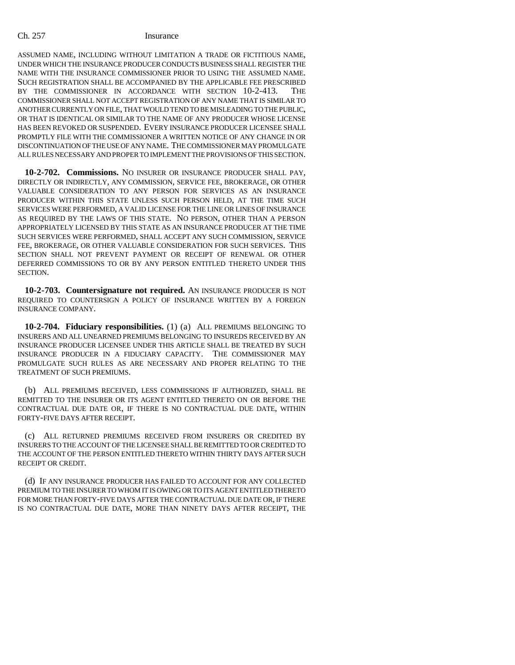ASSUMED NAME, INCLUDING WITHOUT LIMITATION A TRADE OR FICTITIOUS NAME, UNDER WHICH THE INSURANCE PRODUCER CONDUCTS BUSINESS SHALL REGISTER THE NAME WITH THE INSURANCE COMMISSIONER PRIOR TO USING THE ASSUMED NAME. SUCH REGISTRATION SHALL BE ACCOMPANIED BY THE APPLICABLE FEE PRESCRIBED BY THE COMMISSIONER IN ACCORDANCE WITH SECTION 10-2-413. THE COMMISSIONER SHALL NOT ACCEPT REGISTRATION OF ANY NAME THAT IS SIMILAR TO ANOTHER CURRENTLY ON FILE, THAT WOULD TEND TO BE MISLEADING TO THE PUBLIC, OR THAT IS IDENTICAL OR SIMILAR TO THE NAME OF ANY PRODUCER WHOSE LICENSE HAS BEEN REVOKED OR SUSPENDED. EVERY INSURANCE PRODUCER LICENSEE SHALL PROMPTLY FILE WITH THE COMMISSIONER A WRITTEN NOTICE OF ANY CHANGE IN OR DISCONTINUATION OF THE USE OF ANY NAME. THE COMMISSIONER MAY PROMULGATE ALL RULES NECESSARY AND PROPER TO IMPLEMENT THE PROVISIONS OF THIS SECTION.

**10-2-702. Commissions.** NO INSURER OR INSURANCE PRODUCER SHALL PAY, DIRECTLY OR INDIRECTLY, ANY COMMISSION, SERVICE FEE, BROKERAGE, OR OTHER VALUABLE CONSIDERATION TO ANY PERSON FOR SERVICES AS AN INSURANCE PRODUCER WITHIN THIS STATE UNLESS SUCH PERSON HELD, AT THE TIME SUCH SERVICES WERE PERFORMED, A VALID LICENSE FOR THE LINE OR LINES OF INSURANCE AS REQUIRED BY THE LAWS OF THIS STATE. NO PERSON, OTHER THAN A PERSON APPROPRIATELY LICENSED BY THIS STATE AS AN INSURANCE PRODUCER AT THE TIME SUCH SERVICES WERE PERFORMED, SHALL ACCEPT ANY SUCH COMMISSION, SERVICE FEE, BROKERAGE, OR OTHER VALUABLE CONSIDERATION FOR SUCH SERVICES. THIS SECTION SHALL NOT PREVENT PAYMENT OR RECEIPT OF RENEWAL OR OTHER DEFERRED COMMISSIONS TO OR BY ANY PERSON ENTITLED THERETO UNDER THIS SECTION.

**10-2-703. Countersignature not required.** AN INSURANCE PRODUCER IS NOT REQUIRED TO COUNTERSIGN A POLICY OF INSURANCE WRITTEN BY A FOREIGN INSURANCE COMPANY.

**10-2-704. Fiduciary responsibilities.** (1) (a) ALL PREMIUMS BELONGING TO INSURERS AND ALL UNEARNED PREMIUMS BELONGING TO INSUREDS RECEIVED BY AN INSURANCE PRODUCER LICENSEE UNDER THIS ARTICLE SHALL BE TREATED BY SUCH INSURANCE PRODUCER IN A FIDUCIARY CAPACITY. THE COMMISSIONER MAY PROMULGATE SUCH RULES AS ARE NECESSARY AND PROPER RELATING TO THE TREATMENT OF SUCH PREMIUMS.

(b) ALL PREMIUMS RECEIVED, LESS COMMISSIONS IF AUTHORIZED, SHALL BE REMITTED TO THE INSURER OR ITS AGENT ENTITLED THERETO ON OR BEFORE THE CONTRACTUAL DUE DATE OR, IF THERE IS NO CONTRACTUAL DUE DATE, WITHIN FORTY-FIVE DAYS AFTER RECEIPT.

(c) ALL RETURNED PREMIUMS RECEIVED FROM INSURERS OR CREDITED BY INSURERS TO THE ACCOUNT OF THE LICENSEE SHALL BE REMITTED TO OR CREDITED TO THE ACCOUNT OF THE PERSON ENTITLED THERETO WITHIN THIRTY DAYS AFTER SUCH RECEIPT OR CREDIT.

(d) IF ANY INSURANCE PRODUCER HAS FAILED TO ACCOUNT FOR ANY COLLECTED PREMIUM TO THE INSURER TO WHOM IT IS OWING OR TO ITS AGENT ENTITLED THERETO FOR MORE THAN FORTY-FIVE DAYS AFTER THE CONTRACTUAL DUE DATE OR, IF THERE IS NO CONTRACTUAL DUE DATE, MORE THAN NINETY DAYS AFTER RECEIPT, THE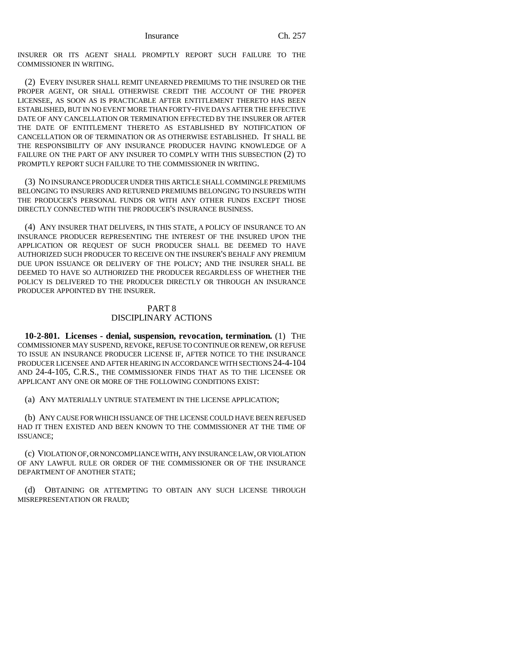INSURER OR ITS AGENT SHALL PROMPTLY REPORT SUCH FAILURE TO THE COMMISSIONER IN WRITING.

(2) EVERY INSURER SHALL REMIT UNEARNED PREMIUMS TO THE INSURED OR THE PROPER AGENT, OR SHALL OTHERWISE CREDIT THE ACCOUNT OF THE PROPER LICENSEE, AS SOON AS IS PRACTICABLE AFTER ENTITLEMENT THERETO HAS BEEN ESTABLISHED, BUT IN NO EVENT MORE THAN FORTY-FIVE DAYS AFTER THE EFFECTIVE DATE OF ANY CANCELLATION OR TERMINATION EFFECTED BY THE INSURER OR AFTER THE DATE OF ENTITLEMENT THERETO AS ESTABLISHED BY NOTIFICATION OF CANCELLATION OR OF TERMINATION OR AS OTHERWISE ESTABLISHED. IT SHALL BE THE RESPONSIBILITY OF ANY INSURANCE PRODUCER HAVING KNOWLEDGE OF A FAILURE ON THE PART OF ANY INSURER TO COMPLY WITH THIS SUBSECTION (2) TO PROMPTLY REPORT SUCH FAILURE TO THE COMMISSIONER IN WRITING.

(3) NO INSURANCE PRODUCER UNDER THIS ARTICLE SHALL COMMINGLE PREMIUMS BELONGING TO INSURERS AND RETURNED PREMIUMS BELONGING TO INSUREDS WITH THE PRODUCER'S PERSONAL FUNDS OR WITH ANY OTHER FUNDS EXCEPT THOSE DIRECTLY CONNECTED WITH THE PRODUCER'S INSURANCE BUSINESS.

(4) ANY INSURER THAT DELIVERS, IN THIS STATE, A POLICY OF INSURANCE TO AN INSURANCE PRODUCER REPRESENTING THE INTEREST OF THE INSURED UPON THE APPLICATION OR REQUEST OF SUCH PRODUCER SHALL BE DEEMED TO HAVE AUTHORIZED SUCH PRODUCER TO RECEIVE ON THE INSURER'S BEHALF ANY PREMIUM DUE UPON ISSUANCE OR DELIVERY OF THE POLICY; AND THE INSURER SHALL BE DEEMED TO HAVE SO AUTHORIZED THE PRODUCER REGARDLESS OF WHETHER THE POLICY IS DELIVERED TO THE PRODUCER DIRECTLY OR THROUGH AN INSURANCE PRODUCER APPOINTED BY THE INSURER.

# PART 8 DISCIPLINARY ACTIONS

**10-2-801. Licenses - denial, suspension, revocation, termination.** (1) THE COMMISSIONER MAY SUSPEND, REVOKE, REFUSE TO CONTINUE OR RENEW, OR REFUSE TO ISSUE AN INSURANCE PRODUCER LICENSE IF, AFTER NOTICE TO THE INSURANCE PRODUCER LICENSEE AND AFTER HEARING IN ACCORDANCE WITH SECTIONS 24-4-104 AND 24-4-105, C.R.S., THE COMMISSIONER FINDS THAT AS TO THE LICENSEE OR APPLICANT ANY ONE OR MORE OF THE FOLLOWING CONDITIONS EXIST:

(a) ANY MATERIALLY UNTRUE STATEMENT IN THE LICENSE APPLICATION;

(b) ANY CAUSE FOR WHICH ISSUANCE OF THE LICENSE COULD HAVE BEEN REFUSED HAD IT THEN EXISTED AND BEEN KNOWN TO THE COMMISSIONER AT THE TIME OF ISSUANCE;

(c) VIOLATION OF, OR NONCOMPLIANCE WITH, ANY INSURANCE LAW, OR VIOLATION OF ANY LAWFUL RULE OR ORDER OF THE COMMISSIONER OR OF THE INSURANCE DEPARTMENT OF ANOTHER STATE;

(d) OBTAINING OR ATTEMPTING TO OBTAIN ANY SUCH LICENSE THROUGH MISREPRESENTATION OR FRAUD;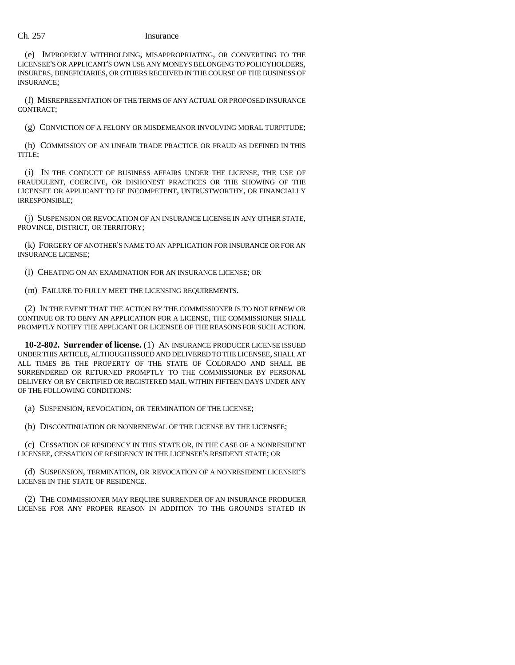(e) IMPROPERLY WITHHOLDING, MISAPPROPRIATING, OR CONVERTING TO THE LICENSEE'S OR APPLICANT'S OWN USE ANY MONEYS BELONGING TO POLICYHOLDERS, INSURERS, BENEFICIARIES, OR OTHERS RECEIVED IN THE COURSE OF THE BUSINESS OF INSURANCE;

(f) MISREPRESENTATION OF THE TERMS OF ANY ACTUAL OR PROPOSED INSURANCE CONTRACT;

(g) CONVICTION OF A FELONY OR MISDEMEANOR INVOLVING MORAL TURPITUDE;

(h) COMMISSION OF AN UNFAIR TRADE PRACTICE OR FRAUD AS DEFINED IN THIS TITLE;

(i) IN THE CONDUCT OF BUSINESS AFFAIRS UNDER THE LICENSE, THE USE OF FRAUDULENT, COERCIVE, OR DISHONEST PRACTICES OR THE SHOWING OF THE LICENSEE OR APPLICANT TO BE INCOMPETENT, UNTRUSTWORTHY, OR FINANCIALLY IRRESPONSIBLE;

(j) SUSPENSION OR REVOCATION OF AN INSURANCE LICENSE IN ANY OTHER STATE, PROVINCE, DISTRICT, OR TERRITORY;

(k) FORGERY OF ANOTHER'S NAME TO AN APPLICATION FOR INSURANCE OR FOR AN INSURANCE LICENSE;

(l) CHEATING ON AN EXAMINATION FOR AN INSURANCE LICENSE; OR

(m) FAILURE TO FULLY MEET THE LICENSING REQUIREMENTS.

(2) IN THE EVENT THAT THE ACTION BY THE COMMISSIONER IS TO NOT RENEW OR CONTINUE OR TO DENY AN APPLICATION FOR A LICENSE, THE COMMISSIONER SHALL PROMPTLY NOTIFY THE APPLICANT OR LICENSEE OF THE REASONS FOR SUCH ACTION.

**10-2-802. Surrender of license.** (1) AN INSURANCE PRODUCER LICENSE ISSUED UNDER THIS ARTICLE, ALTHOUGH ISSUED AND DELIVERED TO THE LICENSEE, SHALL AT ALL TIMES BE THE PROPERTY OF THE STATE OF COLORADO AND SHALL BE SURRENDERED OR RETURNED PROMPTLY TO THE COMMISSIONER BY PERSONAL DELIVERY OR BY CERTIFIED OR REGISTERED MAIL WITHIN FIFTEEN DAYS UNDER ANY OF THE FOLLOWING CONDITIONS:

(a) SUSPENSION, REVOCATION, OR TERMINATION OF THE LICENSE;

(b) DISCONTINUATION OR NONRENEWAL OF THE LICENSE BY THE LICENSEE;

(c) CESSATION OF RESIDENCY IN THIS STATE OR, IN THE CASE OF A NONRESIDENT LICENSEE, CESSATION OF RESIDENCY IN THE LICENSEE'S RESIDENT STATE; OR

(d) SUSPENSION, TERMINATION, OR REVOCATION OF A NONRESIDENT LICENSEE'S LICENSE IN THE STATE OF RESIDENCE.

(2) THE COMMISSIONER MAY REQUIRE SURRENDER OF AN INSURANCE PRODUCER LICENSE FOR ANY PROPER REASON IN ADDITION TO THE GROUNDS STATED IN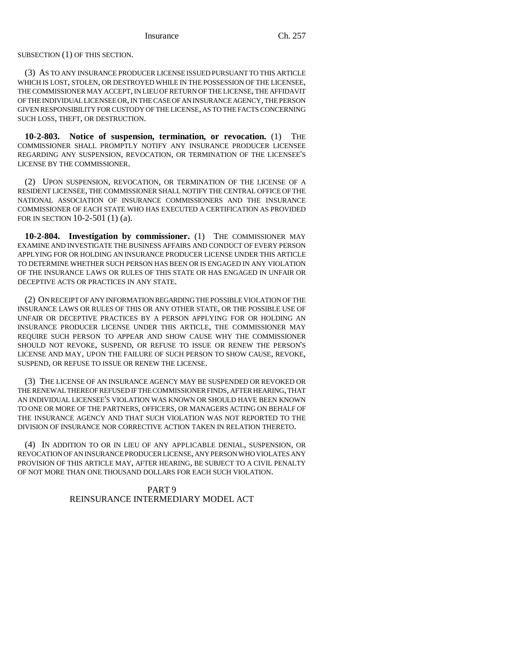SUBSECTION (1) OF THIS SECTION.

(3) AS TO ANY INSURANCE PRODUCER LICENSE ISSUED PURSUANT TO THIS ARTICLE WHICH IS LOST, STOLEN, OR DESTROYED WHILE IN THE POSSESSION OF THE LICENSEE, THE COMMISSIONER MAY ACCEPT, IN LIEU OF RETURN OF THE LICENSE, THE AFFIDAVIT OF THE INDIVIDUAL LICENSEE OR, IN THE CASE OF AN INSURANCE AGENCY, THE PERSON GIVEN RESPONSIBILITY FOR CUSTODY OF THE LICENSE, AS TO THE FACTS CONCERNING SUCH LOSS, THEFT, OR DESTRUCTION.

**10-2-803. Notice of suspension, termination, or revocation.** (1) THE COMMISSIONER SHALL PROMPTLY NOTIFY ANY INSURANCE PRODUCER LICENSEE REGARDING ANY SUSPENSION, REVOCATION, OR TERMINATION OF THE LICENSEE'S LICENSE BY THE COMMISSIONER.

(2) UPON SUSPENSION, REVOCATION, OR TERMINATION OF THE LICENSE OF A RESIDENT LICENSEE, THE COMMISSIONER SHALL NOTIFY THE CENTRAL OFFICE OF THE NATIONAL ASSOCIATION OF INSURANCE COMMISSIONERS AND THE INSURANCE COMMISSIONER OF EACH STATE WHO HAS EXECUTED A CERTIFICATION AS PROVIDED FOR IN SECTION 10-2-501 (1) (a).

**10-2-804. Investigation by commissioner.** (1) THE COMMISSIONER MAY EXAMINE AND INVESTIGATE THE BUSINESS AFFAIRS AND CONDUCT OF EVERY PERSON APPLYING FOR OR HOLDING AN INSURANCE PRODUCER LICENSE UNDER THIS ARTICLE TO DETERMINE WHETHER SUCH PERSON HAS BEEN OR IS ENGAGED IN ANY VIOLATION OF THE INSURANCE LAWS OR RULES OF THIS STATE OR HAS ENGAGED IN UNFAIR OR DECEPTIVE ACTS OR PRACTICES IN ANY STATE.

(2) ON RECEIPT OF ANY INFORMATION REGARDING THE POSSIBLE VIOLATION OF THE INSURANCE LAWS OR RULES OF THIS OR ANY OTHER STATE, OR THE POSSIBLE USE OF UNFAIR OR DECEPTIVE PRACTICES BY A PERSON APPLYING FOR OR HOLDING AN INSURANCE PRODUCER LICENSE UNDER THIS ARTICLE, THE COMMISSIONER MAY REQUIRE SUCH PERSON TO APPEAR AND SHOW CAUSE WHY THE COMMISSIONER SHOULD NOT REVOKE, SUSPEND, OR REFUSE TO ISSUE OR RENEW THE PERSON'S LICENSE AND MAY, UPON THE FAILURE OF SUCH PERSON TO SHOW CAUSE, REVOKE, SUSPEND, OR REFUSE TO ISSUE OR RENEW THE LICENSE.

(3) THE LICENSE OF AN INSURANCE AGENCY MAY BE SUSPENDED OR REVOKED OR THE RENEWAL THEREOF REFUSED IF THE COMMISSIONER FINDS, AFTER HEARING, THAT AN INDIVIDUAL LICENSEE'S VIOLATION WAS KNOWN OR SHOULD HAVE BEEN KNOWN TO ONE OR MORE OF THE PARTNERS, OFFICERS, OR MANAGERS ACTING ON BEHALF OF THE INSURANCE AGENCY AND THAT SUCH VIOLATION WAS NOT REPORTED TO THE DIVISION OF INSURANCE NOR CORRECTIVE ACTION TAKEN IN RELATION THERETO.

(4) IN ADDITION TO OR IN LIEU OF ANY APPLICABLE DENIAL, SUSPENSION, OR REVOCATION OF AN INSURANCE PRODUCER LICENSE, ANY PERSON WHO VIOLATES ANY PROVISION OF THIS ARTICLE MAY, AFTER HEARING, BE SUBJECT TO A CIVIL PENALTY OF NOT MORE THAN ONE THOUSAND DOLLARS FOR EACH SUCH VIOLATION.

# PART 9 REINSURANCE INTERMEDIARY MODEL ACT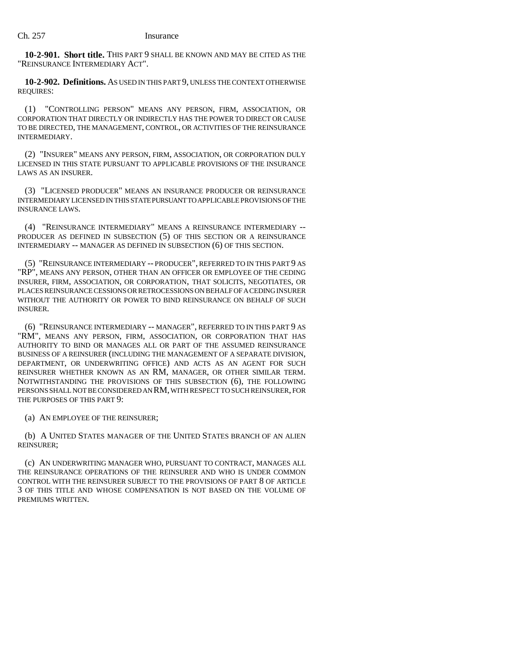**10-2-901. Short title.** THIS PART 9 SHALL BE KNOWN AND MAY BE CITED AS THE "REINSURANCE INTERMEDIARY ACT".

**10-2-902. Definitions.** AS USED IN THIS PART 9, UNLESS THE CONTEXT OTHERWISE REQUIRES:

(1) "CONTROLLING PERSON" MEANS ANY PERSON, FIRM, ASSOCIATION, OR CORPORATION THAT DIRECTLY OR INDIRECTLY HAS THE POWER TO DIRECT OR CAUSE TO BE DIRECTED, THE MANAGEMENT, CONTROL, OR ACTIVITIES OF THE REINSURANCE INTERMEDIARY.

(2) "INSURER" MEANS ANY PERSON, FIRM, ASSOCIATION, OR CORPORATION DULY LICENSED IN THIS STATE PURSUANT TO APPLICABLE PROVISIONS OF THE INSURANCE LAWS AS AN INSURER.

(3) "LICENSED PRODUCER" MEANS AN INSURANCE PRODUCER OR REINSURANCE INTERMEDIARY LICENSED IN THIS STATE PURSUANT TO APPLICABLE PROVISIONS OF THE INSURANCE LAWS.

(4) "REINSURANCE INTERMEDIARY" MEANS A REINSURANCE INTERMEDIARY -- PRODUCER AS DEFINED IN SUBSECTION (5) OF THIS SECTION OR A REINSURANCE INTERMEDIARY -- MANAGER AS DEFINED IN SUBSECTION (6) OF THIS SECTION.

(5) "REINSURANCE INTERMEDIARY -- PRODUCER", REFERRED TO IN THIS PART 9 AS "RP", MEANS ANY PERSON, OTHER THAN AN OFFICER OR EMPLOYEE OF THE CEDING INSURER, FIRM, ASSOCIATION, OR CORPORATION, THAT SOLICITS, NEGOTIATES, OR PLACES REINSURANCE CESSIONS OR RETROCESSIONS ON BEHALF OF A CEDING INSURER WITHOUT THE AUTHORITY OR POWER TO BIND REINSURANCE ON BEHALF OF SUCH INSURER.

(6) "REINSURANCE INTERMEDIARY -- MANAGER", REFERRED TO IN THIS PART 9 AS "RM", MEANS ANY PERSON, FIRM, ASSOCIATION, OR CORPORATION THAT HAS AUTHORITY TO BIND OR MANAGES ALL OR PART OF THE ASSUMED REINSURANCE BUSINESS OF A REINSURER (INCLUDING THE MANAGEMENT OF A SEPARATE DIVISION, DEPARTMENT, OR UNDERWRITING OFFICE) AND ACTS AS AN AGENT FOR SUCH REINSURER WHETHER KNOWN AS AN RM, MANAGER, OR OTHER SIMILAR TERM. NOTWITHSTANDING THE PROVISIONS OF THIS SUBSECTION (6), THE FOLLOWING PERSONS SHALL NOT BE CONSIDERED AN RM, WITH RESPECT TO SUCH REINSURER, FOR THE PURPOSES OF THIS PART 9:

(a) AN EMPLOYEE OF THE REINSURER;

(b) A UNITED STATES MANAGER OF THE UNITED STATES BRANCH OF AN ALIEN REINSURER;

(c) AN UNDERWRITING MANAGER WHO, PURSUANT TO CONTRACT, MANAGES ALL THE REINSURANCE OPERATIONS OF THE REINSURER AND WHO IS UNDER COMMON CONTROL WITH THE REINSURER SUBJECT TO THE PROVISIONS OF PART 8 OF ARTICLE 3 OF THIS TITLE AND WHOSE COMPENSATION IS NOT BASED ON THE VOLUME OF PREMIUMS WRITTEN.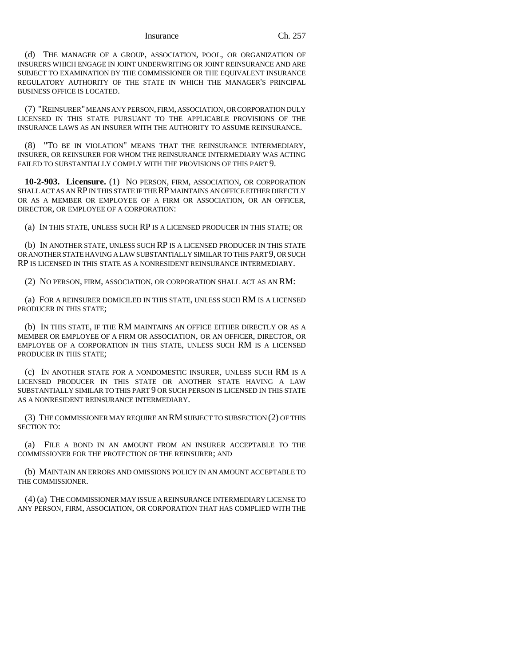#### Insurance Ch. 257

(d) THE MANAGER OF A GROUP, ASSOCIATION, POOL, OR ORGANIZATION OF INSURERS WHICH ENGAGE IN JOINT UNDERWRITING OR JOINT REINSURANCE AND ARE SUBJECT TO EXAMINATION BY THE COMMISSIONER OR THE EQUIVALENT INSURANCE REGULATORY AUTHORITY OF THE STATE IN WHICH THE MANAGER'S PRINCIPAL BUSINESS OFFICE IS LOCATED.

(7) "REINSURER" MEANS ANY PERSON, FIRM, ASSOCIATION, OR CORPORATION DULY LICENSED IN THIS STATE PURSUANT TO THE APPLICABLE PROVISIONS OF THE INSURANCE LAWS AS AN INSURER WITH THE AUTHORITY TO ASSUME REINSURANCE.

"TO BE IN VIOLATION" MEANS THAT THE REINSURANCE INTERMEDIARY, INSURER, OR REINSURER FOR WHOM THE REINSURANCE INTERMEDIARY WAS ACTING FAILED TO SUBSTANTIALLY COMPLY WITH THE PROVISIONS OF THIS PART 9.

**10-2-903. Licensure.** (1) NO PERSON, FIRM, ASSOCIATION, OR CORPORATION SHALL ACT AS AN RP IN THIS STATE IF THE RP MAINTAINS AN OFFICE EITHER DIRECTLY OR AS A MEMBER OR EMPLOYEE OF A FIRM OR ASSOCIATION, OR AN OFFICER, DIRECTOR, OR EMPLOYEE OF A CORPORATION:

(a) IN THIS STATE, UNLESS SUCH RP IS A LICENSED PRODUCER IN THIS STATE; OR

(b) IN ANOTHER STATE, UNLESS SUCH RP IS A LICENSED PRODUCER IN THIS STATE OR ANOTHER STATE HAVING A LAW SUBSTANTIALLY SIMILAR TO THIS PART 9, OR SUCH RP IS LICENSED IN THIS STATE AS A NONRESIDENT REINSURANCE INTERMEDIARY.

(2) NO PERSON, FIRM, ASSOCIATION, OR CORPORATION SHALL ACT AS AN RM:

(a) FOR A REINSURER DOMICILED IN THIS STATE, UNLESS SUCH RM IS A LICENSED PRODUCER IN THIS STATE;

(b) IN THIS STATE, IF THE RM MAINTAINS AN OFFICE EITHER DIRECTLY OR AS A MEMBER OR EMPLOYEE OF A FIRM OR ASSOCIATION, OR AN OFFICER, DIRECTOR, OR EMPLOYEE OF A CORPORATION IN THIS STATE, UNLESS SUCH RM IS A LICENSED PRODUCER IN THIS STATE;

(c) IN ANOTHER STATE FOR A NONDOMESTIC INSURER, UNLESS SUCH RM IS A LICENSED PRODUCER IN THIS STATE OR ANOTHER STATE HAVING A LAW SUBSTANTIALLY SIMILAR TO THIS PART 9 OR SUCH PERSON IS LICENSED IN THIS STATE AS A NONRESIDENT REINSURANCE INTERMEDIARY.

(3) THE COMMISSIONER MAY REQUIRE AN RM SUBJECT TO SUBSECTION (2) OF THIS SECTION TO:

(a) FILE A BOND IN AN AMOUNT FROM AN INSURER ACCEPTABLE TO THE COMMISSIONER FOR THE PROTECTION OF THE REINSURER; AND

(b) MAINTAIN AN ERRORS AND OMISSIONS POLICY IN AN AMOUNT ACCEPTABLE TO THE COMMISSIONER.

(4) (a) THE COMMISSIONER MAY ISSUE A REINSURANCE INTERMEDIARY LICENSE TO ANY PERSON, FIRM, ASSOCIATION, OR CORPORATION THAT HAS COMPLIED WITH THE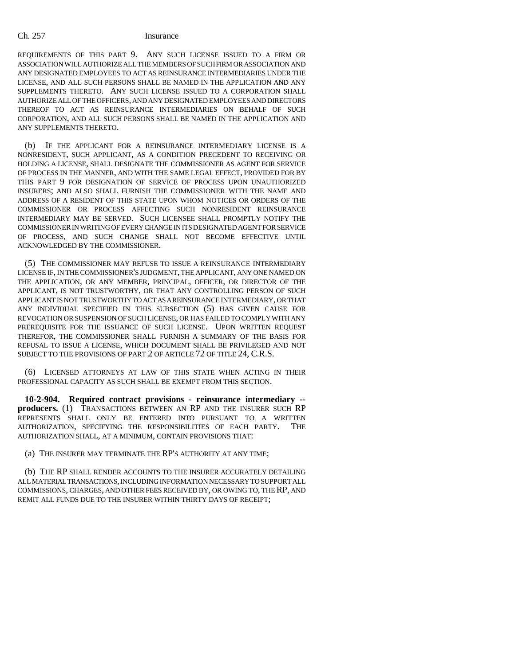REQUIREMENTS OF THIS PART 9. ANY SUCH LICENSE ISSUED TO A FIRM OR ASSOCIATION WILL AUTHORIZE ALL THE MEMBERS OF SUCH FIRM OR ASSOCIATION AND ANY DESIGNATED EMPLOYEES TO ACT AS REINSURANCE INTERMEDIARIES UNDER THE LICENSE, AND ALL SUCH PERSONS SHALL BE NAMED IN THE APPLICATION AND ANY SUPPLEMENTS THERETO. ANY SUCH LICENSE ISSUED TO A CORPORATION SHALL AUTHORIZE ALL OF THE OFFICERS, AND ANY DESIGNATED EMPLOYEES AND DIRECTORS THEREOF TO ACT AS REINSURANCE INTERMEDIARIES ON BEHALF OF SUCH CORPORATION, AND ALL SUCH PERSONS SHALL BE NAMED IN THE APPLICATION AND ANY SUPPLEMENTS THERETO.

(b) IF THE APPLICANT FOR A REINSURANCE INTERMEDIARY LICENSE IS A NONRESIDENT, SUCH APPLICANT, AS A CONDITION PRECEDENT TO RECEIVING OR HOLDING A LICENSE, SHALL DESIGNATE THE COMMISSIONER AS AGENT FOR SERVICE OF PROCESS IN THE MANNER, AND WITH THE SAME LEGAL EFFECT, PROVIDED FOR BY THIS PART 9 FOR DESIGNATION OF SERVICE OF PROCESS UPON UNAUTHORIZED INSURERS; AND ALSO SHALL FURNISH THE COMMISSIONER WITH THE NAME AND ADDRESS OF A RESIDENT OF THIS STATE UPON WHOM NOTICES OR ORDERS OF THE COMMISSIONER OR PROCESS AFFECTING SUCH NONRESIDENT REINSURANCE INTERMEDIARY MAY BE SERVED. SUCH LICENSEE SHALL PROMPTLY NOTIFY THE COMMISSIONER IN WRITING OF EVERY CHANGE IN ITS DESIGNATED AGENT FOR SERVICE OF PROCESS, AND SUCH CHANGE SHALL NOT BECOME EFFECTIVE UNTIL ACKNOWLEDGED BY THE COMMISSIONER.

(5) THE COMMISSIONER MAY REFUSE TO ISSUE A REINSURANCE INTERMEDIARY LICENSE IF, IN THE COMMISSIONER'S JUDGMENT, THE APPLICANT, ANY ONE NAMED ON THE APPLICATION, OR ANY MEMBER, PRINCIPAL, OFFICER, OR DIRECTOR OF THE APPLICANT, IS NOT TRUSTWORTHY, OR THAT ANY CONTROLLING PERSON OF SUCH APPLICANT IS NOT TRUSTWORTHY TO ACT AS A REINSURANCE INTERMEDIARY, OR THAT ANY INDIVIDUAL SPECIFIED IN THIS SUBSECTION (5) HAS GIVEN CAUSE FOR REVOCATION OR SUSPENSION OF SUCH LICENSE, OR HAS FAILED TO COMPLY WITH ANY PREREQUISITE FOR THE ISSUANCE OF SUCH LICENSE. UPON WRITTEN REQUEST THEREFOR, THE COMMISSIONER SHALL FURNISH A SUMMARY OF THE BASIS FOR REFUSAL TO ISSUE A LICENSE, WHICH DOCUMENT SHALL BE PRIVILEGED AND NOT SUBJECT TO THE PROVISIONS OF PART 2 OF ARTICLE 72 OF TITLE 24, C.R.S.

(6) LICENSED ATTORNEYS AT LAW OF THIS STATE WHEN ACTING IN THEIR PROFESSIONAL CAPACITY AS SUCH SHALL BE EXEMPT FROM THIS SECTION.

**10-2-904. Required contract provisions - reinsurance intermediary - producers.** (1) TRANSACTIONS BETWEEN AN RP AND THE INSURER SUCH RP REPRESENTS SHALL ONLY BE ENTERED INTO PURSUANT TO A WRITTEN AUTHORIZATION, SPECIFYING THE RESPONSIBILITIES OF EACH PARTY. THE AUTHORIZATION SHALL, AT A MINIMUM, CONTAIN PROVISIONS THAT:

(a) THE INSURER MAY TERMINATE THE RP'S AUTHORITY AT ANY TIME;

(b) THE RP SHALL RENDER ACCOUNTS TO THE INSURER ACCURATELY DETAILING ALL MATERIAL TRANSACTIONS, INCLUDING INFORMATION NECESSARY TO SUPPORT ALL COMMISSIONS, CHARGES, AND OTHER FEES RECEIVED BY, OR OWING TO, THE RP, AND REMIT ALL FUNDS DUE TO THE INSURER WITHIN THIRTY DAYS OF RECEIPT;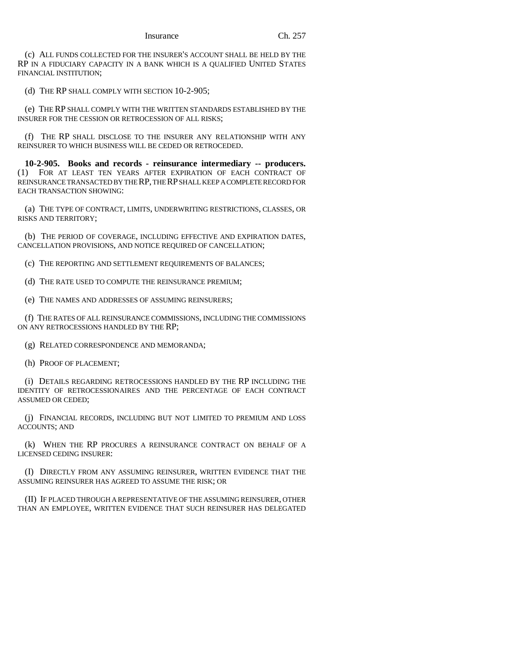(c) ALL FUNDS COLLECTED FOR THE INSURER'S ACCOUNT SHALL BE HELD BY THE RP IN A FIDUCIARY CAPACITY IN A BANK WHICH IS A QUALIFIED UNITED STATES FINANCIAL INSTITUTION;

(d) THE RP SHALL COMPLY WITH SECTION 10-2-905;

(e) THE RP SHALL COMPLY WITH THE WRITTEN STANDARDS ESTABLISHED BY THE INSURER FOR THE CESSION OR RETROCESSION OF ALL RISKS;

(f) THE RP SHALL DISCLOSE TO THE INSURER ANY RELATIONSHIP WITH ANY REINSURER TO WHICH BUSINESS WILL BE CEDED OR RETROCEDED.

**10-2-905. Books and records - reinsurance intermediary -- producers.** (1) FOR AT LEAST TEN YEARS AFTER EXPIRATION OF EACH CONTRACT OF REINSURANCE TRANSACTED BY THE RP, THE RP SHALL KEEP A COMPLETE RECORD FOR EACH TRANSACTION SHOWING:

(a) THE TYPE OF CONTRACT, LIMITS, UNDERWRITING RESTRICTIONS, CLASSES, OR RISKS AND TERRITORY;

(b) THE PERIOD OF COVERAGE, INCLUDING EFFECTIVE AND EXPIRATION DATES, CANCELLATION PROVISIONS, AND NOTICE REQUIRED OF CANCELLATION;

(c) THE REPORTING AND SETTLEMENT REQUIREMENTS OF BALANCES;

(d) THE RATE USED TO COMPUTE THE REINSURANCE PREMIUM;

(e) THE NAMES AND ADDRESSES OF ASSUMING REINSURERS;

(f) THE RATES OF ALL REINSURANCE COMMISSIONS, INCLUDING THE COMMISSIONS ON ANY RETROCESSIONS HANDLED BY THE RP;

(g) RELATED CORRESPONDENCE AND MEMORANDA;

(h) PROOF OF PLACEMENT;

(i) DETAILS REGARDING RETROCESSIONS HANDLED BY THE RP INCLUDING THE IDENTITY OF RETROCESSIONAIRES AND THE PERCENTAGE OF EACH CONTRACT ASSUMED OR CEDED;

(j) FINANCIAL RECORDS, INCLUDING BUT NOT LIMITED TO PREMIUM AND LOSS ACCOUNTS; AND

(k) WHEN THE RP PROCURES A REINSURANCE CONTRACT ON BEHALF OF A LICENSED CEDING INSURER:

(I) DIRECTLY FROM ANY ASSUMING REINSURER, WRITTEN EVIDENCE THAT THE ASSUMING REINSURER HAS AGREED TO ASSUME THE RISK; OR

(II) IF PLACED THROUGH A REPRESENTATIVE OF THE ASSUMING REINSURER, OTHER THAN AN EMPLOYEE, WRITTEN EVIDENCE THAT SUCH REINSURER HAS DELEGATED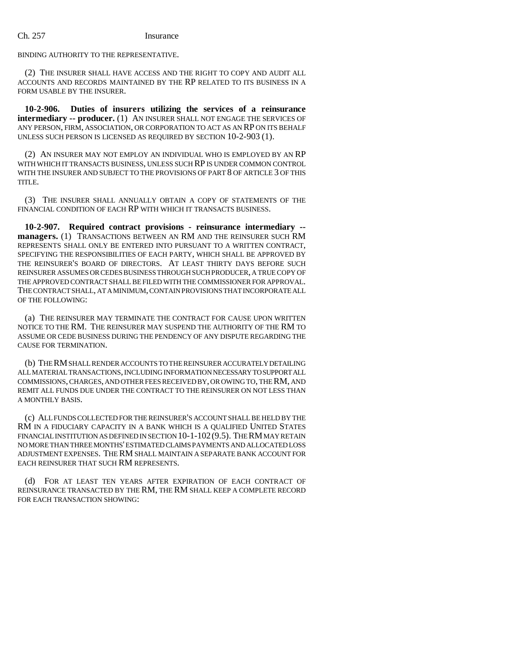BINDING AUTHORITY TO THE REPRESENTATIVE.

(2) THE INSURER SHALL HAVE ACCESS AND THE RIGHT TO COPY AND AUDIT ALL ACCOUNTS AND RECORDS MAINTAINED BY THE RP RELATED TO ITS BUSINESS IN A FORM USABLE BY THE INSURER.

**10-2-906. Duties of insurers utilizing the services of a reinsurance intermediary -- producer.** (1) AN INSURER SHALL NOT ENGAGE THE SERVICES OF ANY PERSON, FIRM, ASSOCIATION, OR CORPORATION TO ACT AS AN RP ON ITS BEHALF UNLESS SUCH PERSON IS LICENSED AS REQUIRED BY SECTION 10-2-903 (1).

(2) AN INSURER MAY NOT EMPLOY AN INDIVIDUAL WHO IS EMPLOYED BY AN RP WITH WHICH IT TRANSACTS BUSINESS, UNLESS SUCH RP IS UNDER COMMON CONTROL WITH THE INSURER AND SUBJECT TO THE PROVISIONS OF PART 8 OF ARTICLE 3 OF THIS TITLE.

(3) THE INSURER SHALL ANNUALLY OBTAIN A COPY OF STATEMENTS OF THE FINANCIAL CONDITION OF EACH RP WITH WHICH IT TRANSACTS BUSINESS.

**10-2-907. Required contract provisions - reinsurance intermediary - managers.** (1) TRANSACTIONS BETWEEN AN RM AND THE REINSURER SUCH RM REPRESENTS SHALL ONLY BE ENTERED INTO PURSUANT TO A WRITTEN CONTRACT, SPECIFYING THE RESPONSIBILITIES OF EACH PARTY, WHICH SHALL BE APPROVED BY THE REINSURER'S BOARD OF DIRECTORS. AT LEAST THIRTY DAYS BEFORE SUCH REINSURER ASSUMES OR CEDES BUSINESS THROUGH SUCH PRODUCER, A TRUE COPY OF THE APPROVED CONTRACT SHALL BE FILED WITH THE COMMISSIONER FOR APPROVAL. THE CONTRACT SHALL, AT A MINIMUM, CONTAIN PROVISIONS THAT INCORPORATE ALL OF THE FOLLOWING:

(a) THE REINSURER MAY TERMINATE THE CONTRACT FOR CAUSE UPON WRITTEN NOTICE TO THE RM. THE REINSURER MAY SUSPEND THE AUTHORITY OF THE RM TO ASSUME OR CEDE BUSINESS DURING THE PENDENCY OF ANY DISPUTE REGARDING THE CAUSE FOR TERMINATION.

(b) THE RM SHALL RENDER ACCOUNTS TO THE REINSURER ACCURATELY DETAILING ALL MATERIAL TRANSACTIONS, INCLUDING INFORMATION NECESSARY TO SUPPORT ALL COMMISSIONS, CHARGES, AND OTHER FEES RECEIVED BY, OR OWING TO, THE RM, AND REMIT ALL FUNDS DUE UNDER THE CONTRACT TO THE REINSURER ON NOT LESS THAN A MONTHLY BASIS.

(c) ALL FUNDS COLLECTED FOR THE REINSURER'S ACCOUNT SHALL BE HELD BY THE RM IN A FIDUCIARY CAPACITY IN A BANK WHICH IS A QUALIFIED UNITED STATES FINANCIAL INSTITUTION AS DEFINED IN SECTION 10-1-102 (9.5). THE RM MAY RETAIN NO MORE THAN THREE MONTHS' ESTIMATED CLAIMS PAYMENTS AND ALLOCATED LOSS ADJUSTMENT EXPENSES. THE RM SHALL MAINTAIN A SEPARATE BANK ACCOUNT FOR EACH REINSURER THAT SUCH RM REPRESENTS.

(d) FOR AT LEAST TEN YEARS AFTER EXPIRATION OF EACH CONTRACT OF REINSURANCE TRANSACTED BY THE RM, THE RM SHALL KEEP A COMPLETE RECORD FOR EACH TRANSACTION SHOWING: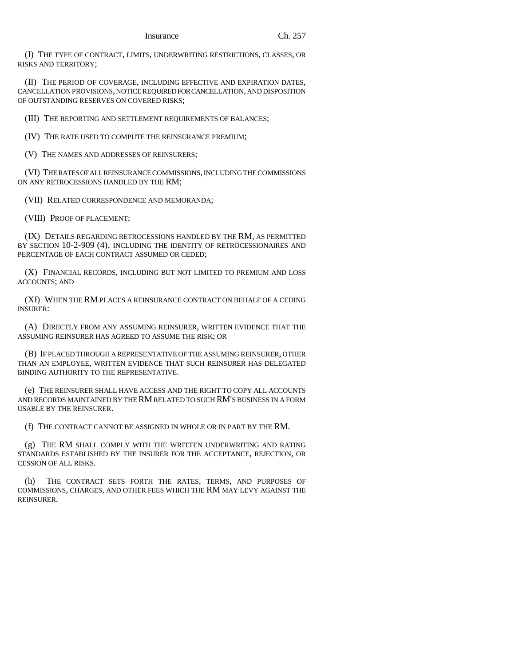(I) THE TYPE OF CONTRACT, LIMITS, UNDERWRITING RESTRICTIONS, CLASSES, OR RISKS AND TERRITORY;

(II) THE PERIOD OF COVERAGE, INCLUDING EFFECTIVE AND EXPIRATION DATES, CANCELLATION PROVISIONS, NOTICE REQUIRED FOR CANCELLATION, AND DISPOSITION OF OUTSTANDING RESERVES ON COVERED RISKS;

(III) THE REPORTING AND SETTLEMENT REQUIREMENTS OF BALANCES;

(IV) THE RATE USED TO COMPUTE THE REINSURANCE PREMIUM;

(V) THE NAMES AND ADDRESSES OF REINSURERS;

(VI) THE RATES OF ALL REINSURANCE COMMISSIONS, INCLUDING THE COMMISSIONS ON ANY RETROCESSIONS HANDLED BY THE RM;

(VII) RELATED CORRESPONDENCE AND MEMORANDA;

(VIII) PROOF OF PLACEMENT;

(IX) DETAILS REGARDING RETROCESSIONS HANDLED BY THE RM, AS PERMITTED BY SECTION 10-2-909 (4), INCLUDING THE IDENTITY OF RETROCESSIONAIRES AND PERCENTAGE OF EACH CONTRACT ASSUMED OR CEDED;

(X) FINANCIAL RECORDS, INCLUDING BUT NOT LIMITED TO PREMIUM AND LOSS ACCOUNTS; AND

(XI) WHEN THE RM PLACES A REINSURANCE CONTRACT ON BEHALF OF A CEDING INSURER:

(A) DIRECTLY FROM ANY ASSUMING REINSURER, WRITTEN EVIDENCE THAT THE ASSUMING REINSURER HAS AGREED TO ASSUME THE RISK; OR

(B) IF PLACED THROUGH A REPRESENTATIVE OF THE ASSUMING REINSURER, OTHER THAN AN EMPLOYEE, WRITTEN EVIDENCE THAT SUCH REINSURER HAS DELEGATED BINDING AUTHORITY TO THE REPRESENTATIVE.

(e) THE REINSURER SHALL HAVE ACCESS AND THE RIGHT TO COPY ALL ACCOUNTS AND RECORDS MAINTAINED BY THE RM RELATED TO SUCH RM'S BUSINESS IN A FORM USABLE BY THE REINSURER.

(f) THE CONTRACT CANNOT BE ASSIGNED IN WHOLE OR IN PART BY THE RM.

(g) THE RM SHALL COMPLY WITH THE WRITTEN UNDERWRITING AND RATING STANDARDS ESTABLISHED BY THE INSURER FOR THE ACCEPTANCE, REJECTION, OR CESSION OF ALL RISKS.

(h) THE CONTRACT SETS FORTH THE RATES, TERMS, AND PURPOSES OF COMMISSIONS, CHARGES, AND OTHER FEES WHICH THE RM MAY LEVY AGAINST THE REINSURER.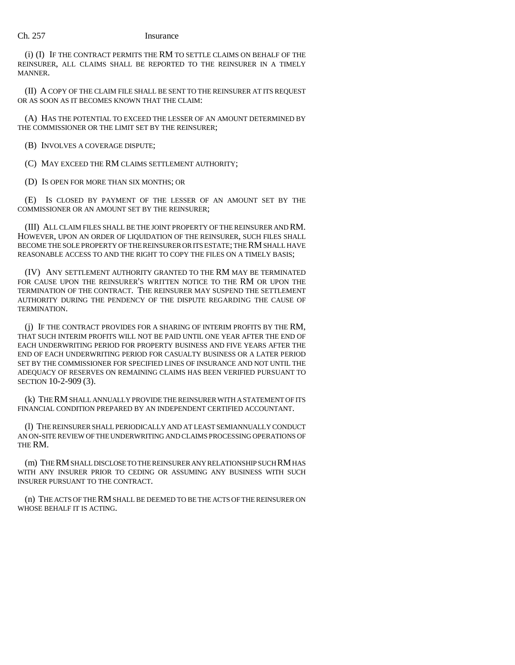(i) (I) IF THE CONTRACT PERMITS THE RM TO SETTLE CLAIMS ON BEHALF OF THE REINSURER, ALL CLAIMS SHALL BE REPORTED TO THE REINSURER IN A TIMELY MANNER.

(II) A COPY OF THE CLAIM FILE SHALL BE SENT TO THE REINSURER AT ITS REQUEST OR AS SOON AS IT BECOMES KNOWN THAT THE CLAIM:

(A) HAS THE POTENTIAL TO EXCEED THE LESSER OF AN AMOUNT DETERMINED BY THE COMMISSIONER OR THE LIMIT SET BY THE REINSURER;

(B) INVOLVES A COVERAGE DISPUTE;

(C) MAY EXCEED THE RM CLAIMS SETTLEMENT AUTHORITY;

(D) IS OPEN FOR MORE THAN SIX MONTHS; OR

(E) IS CLOSED BY PAYMENT OF THE LESSER OF AN AMOUNT SET BY THE COMMISSIONER OR AN AMOUNT SET BY THE REINSURER;

(III) ALL CLAIM FILES SHALL BE THE JOINT PROPERTY OF THE REINSURER AND RM. HOWEVER, UPON AN ORDER OF LIQUIDATION OF THE REINSURER, SUCH FILES SHALL BECOME THE SOLE PROPERTY OF THE REINSURER OR ITS ESTATE; THE RM SHALL HAVE REASONABLE ACCESS TO AND THE RIGHT TO COPY THE FILES ON A TIMELY BASIS;

(IV) ANY SETTLEMENT AUTHORITY GRANTED TO THE RM MAY BE TERMINATED FOR CAUSE UPON THE REINSURER'S WRITTEN NOTICE TO THE RM OR UPON THE TERMINATION OF THE CONTRACT. THE REINSURER MAY SUSPEND THE SETTLEMENT AUTHORITY DURING THE PENDENCY OF THE DISPUTE REGARDING THE CAUSE OF TERMINATION.

(j) IF THE CONTRACT PROVIDES FOR A SHARING OF INTERIM PROFITS BY THE RM, THAT SUCH INTERIM PROFITS WILL NOT BE PAID UNTIL ONE YEAR AFTER THE END OF EACH UNDERWRITING PERIOD FOR PROPERTY BUSINESS AND FIVE YEARS AFTER THE END OF EACH UNDERWRITING PERIOD FOR CASUALTY BUSINESS OR A LATER PERIOD SET BY THE COMMISSIONER FOR SPECIFIED LINES OF INSURANCE AND NOT UNTIL THE ADEQUACY OF RESERVES ON REMAINING CLAIMS HAS BEEN VERIFIED PURSUANT TO SECTION 10-2-909 (3).

(k) THE RM SHALL ANNUALLY PROVIDE THE REINSURER WITH A STATEMENT OF ITS FINANCIAL CONDITION PREPARED BY AN INDEPENDENT CERTIFIED ACCOUNTANT.

(l) THE REINSURER SHALL PERIODICALLY AND AT LEAST SEMIANNUALLY CONDUCT AN ON-SITE REVIEW OF THE UNDERWRITING AND CLAIMS PROCESSING OPERATIONS OF THE RM.

(m) THE RM SHALL DISCLOSE TO THE REINSURER ANY RELATIONSHIP SUCH RM HAS WITH ANY INSURER PRIOR TO CEDING OR ASSUMING ANY BUSINESS WITH SUCH INSURER PURSUANT TO THE CONTRACT.

(n) THE ACTS OF THE RM SHALL BE DEEMED TO BE THE ACTS OF THE REINSURER ON WHOSE BEHALF IT IS ACTING.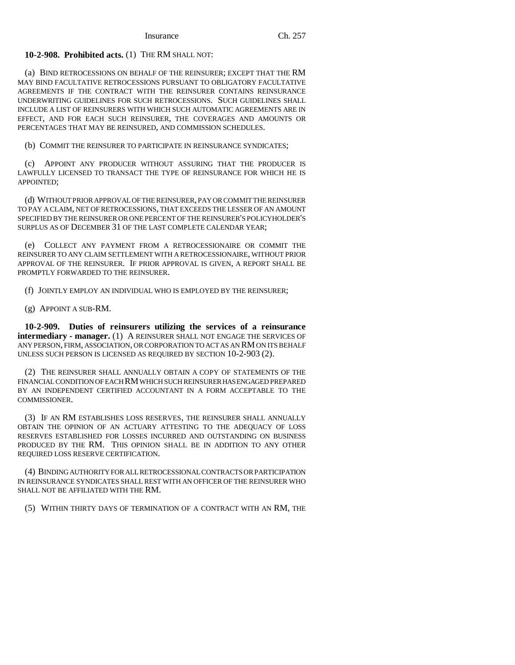**10-2-908. Prohibited acts.** (1) THE RM SHALL NOT:

(a) BIND RETROCESSIONS ON BEHALF OF THE REINSURER; EXCEPT THAT THE RM MAY BIND FACULTATIVE RETROCESSIONS PURSUANT TO OBLIGATORY FACULTATIVE AGREEMENTS IF THE CONTRACT WITH THE REINSURER CONTAINS REINSURANCE UNDERWRITING GUIDELINES FOR SUCH RETROCESSIONS. SUCH GUIDELINES SHALL INCLUDE A LIST OF REINSURERS WITH WHICH SUCH AUTOMATIC AGREEMENTS ARE IN EFFECT, AND FOR EACH SUCH REINSURER, THE COVERAGES AND AMOUNTS OR PERCENTAGES THAT MAY BE REINSURED, AND COMMISSION SCHEDULES.

(b) COMMIT THE REINSURER TO PARTICIPATE IN REINSURANCE SYNDICATES;

(c) APPOINT ANY PRODUCER WITHOUT ASSURING THAT THE PRODUCER IS LAWFULLY LICENSED TO TRANSACT THE TYPE OF REINSURANCE FOR WHICH HE IS APPOINTED;

(d) WITHOUT PRIOR APPROVAL OF THE REINSURER, PAY OR COMMIT THE REINSURER TO PAY A CLAIM, NET OF RETROCESSIONS, THAT EXCEEDS THE LESSER OF AN AMOUNT SPECIFIED BY THE REINSURER OR ONE PERCENT OF THE REINSURER'S POLICYHOLDER'S SURPLUS AS OF DECEMBER 31 OF THE LAST COMPLETE CALENDAR YEAR;

(e) COLLECT ANY PAYMENT FROM A RETROCESSIONAIRE OR COMMIT THE REINSURER TO ANY CLAIM SETTLEMENT WITH A RETROCESSIONAIRE, WITHOUT PRIOR APPROVAL OF THE REINSURER. IF PRIOR APPROVAL IS GIVEN, A REPORT SHALL BE PROMPTLY FORWARDED TO THE REINSURER.

(f) JOINTLY EMPLOY AN INDIVIDUAL WHO IS EMPLOYED BY THE REINSURER;

(g) APPOINT A SUB-RM.

**10-2-909. Duties of reinsurers utilizing the services of a reinsurance intermediary - manager.** (1) A REINSURER SHALL NOT ENGAGE THE SERVICES OF ANY PERSON, FIRM, ASSOCIATION, OR CORPORATION TO ACT AS AN RM ON ITS BEHALF UNLESS SUCH PERSON IS LICENSED AS REQUIRED BY SECTION 10-2-903 (2).

(2) THE REINSURER SHALL ANNUALLY OBTAIN A COPY OF STATEMENTS OF THE FINANCIAL CONDITION OF EACH RM WHICH SUCH REINSURER HAS ENGAGED PREPARED BY AN INDEPENDENT CERTIFIED ACCOUNTANT IN A FORM ACCEPTABLE TO THE COMMISSIONER.

(3) IF AN RM ESTABLISHES LOSS RESERVES, THE REINSURER SHALL ANNUALLY OBTAIN THE OPINION OF AN ACTUARY ATTESTING TO THE ADEQUACY OF LOSS RESERVES ESTABLISHED FOR LOSSES INCURRED AND OUTSTANDING ON BUSINESS PRODUCED BY THE RM. THIS OPINION SHALL BE IN ADDITION TO ANY OTHER REQUIRED LOSS RESERVE CERTIFICATION.

(4) BINDING AUTHORITY FOR ALL RETROCESSIONAL CONTRACTS OR PARTICIPATION IN REINSURANCE SYNDICATES SHALL REST WITH AN OFFICER OF THE REINSURER WHO SHALL NOT BE AFFILIATED WITH THE RM.

(5) WITHIN THIRTY DAYS OF TERMINATION OF A CONTRACT WITH AN RM, THE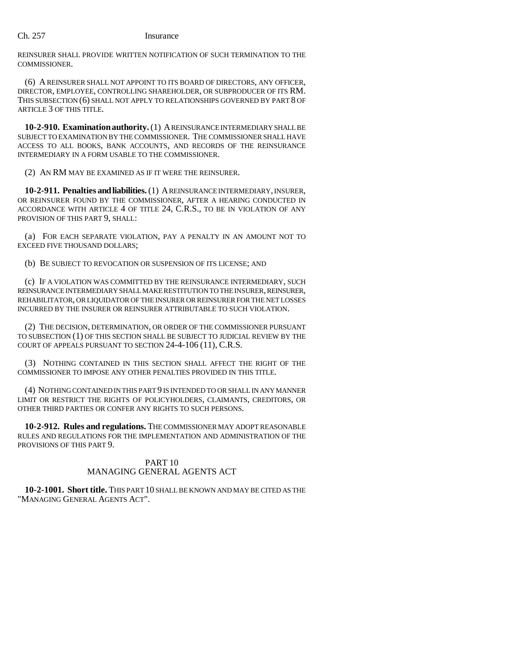REINSURER SHALL PROVIDE WRITTEN NOTIFICATION OF SUCH TERMINATION TO THE COMMISSIONER.

(6) A REINSURER SHALL NOT APPOINT TO ITS BOARD OF DIRECTORS, ANY OFFICER, DIRECTOR, EMPLOYEE, CONTROLLING SHAREHOLDER, OR SUBPRODUCER OF ITS RM. THIS SUBSECTION (6) SHALL NOT APPLY TO RELATIONSHIPS GOVERNED BY PART 8 OF ARTICLE 3 OF THIS TITLE.

**10-2-910. Examination authority.** (1) A REINSURANCE INTERMEDIARY SHALL BE SUBJECT TO EXAMINATION BY THE COMMISSIONER. THE COMMISSIONER SHALL HAVE ACCESS TO ALL BOOKS, BANK ACCOUNTS, AND RECORDS OF THE REINSURANCE INTERMEDIARY IN A FORM USABLE TO THE COMMISSIONER.

(2) AN RM MAY BE EXAMINED AS IF IT WERE THE REINSURER.

**10-2-911. Penalties and liabilities.** (1) A REINSURANCE INTERMEDIARY, INSURER, OR REINSURER FOUND BY THE COMMISSIONER, AFTER A HEARING CONDUCTED IN ACCORDANCE WITH ARTICLE 4 OF TITLE 24, C.R.S., TO BE IN VIOLATION OF ANY PROVISION OF THIS PART 9, SHALL:

(a) FOR EACH SEPARATE VIOLATION, PAY A PENALTY IN AN AMOUNT NOT TO EXCEED FIVE THOUSAND DOLLARS;

(b) BE SUBJECT TO REVOCATION OR SUSPENSION OF ITS LICENSE; AND

(c) IF A VIOLATION WAS COMMITTED BY THE REINSURANCE INTERMEDIARY, SUCH REINSURANCE INTERMEDIARY SHALL MAKE RESTITUTION TO THE INSURER, REINSURER, REHABILITATOR, OR LIQUIDATOR OF THE INSURER OR REINSURER FOR THE NET LOSSES INCURRED BY THE INSURER OR REINSURER ATTRIBUTABLE TO SUCH VIOLATION.

(2) THE DECISION, DETERMINATION, OR ORDER OF THE COMMISSIONER PURSUANT TO SUBSECTION (1) OF THIS SECTION SHALL BE SUBJECT TO JUDICIAL REVIEW BY THE COURT OF APPEALS PURSUANT TO SECTION 24-4-106 (11), C.R.S.

(3) NOTHING CONTAINED IN THIS SECTION SHALL AFFECT THE RIGHT OF THE COMMISSIONER TO IMPOSE ANY OTHER PENALTIES PROVIDED IN THIS TITLE.

(4) NOTHING CONTAINED IN THIS PART 9 IS INTENDED TO OR SHALL IN ANY MANNER LIMIT OR RESTRICT THE RIGHTS OF POLICYHOLDERS, CLAIMANTS, CREDITORS, OR OTHER THIRD PARTIES OR CONFER ANY RIGHTS TO SUCH PERSONS.

**10-2-912. Rules and regulations.** THE COMMISSIONER MAY ADOPT REASONABLE RULES AND REGULATIONS FOR THE IMPLEMENTATION AND ADMINISTRATION OF THE PROVISIONS OF THIS PART 9.

# PART 10 MANAGING GENERAL AGENTS ACT

**10-2-1001. Short title.** THIS PART 10 SHALL BE KNOWN AND MAY BE CITED AS THE "MANAGING GENERAL AGENTS ACT".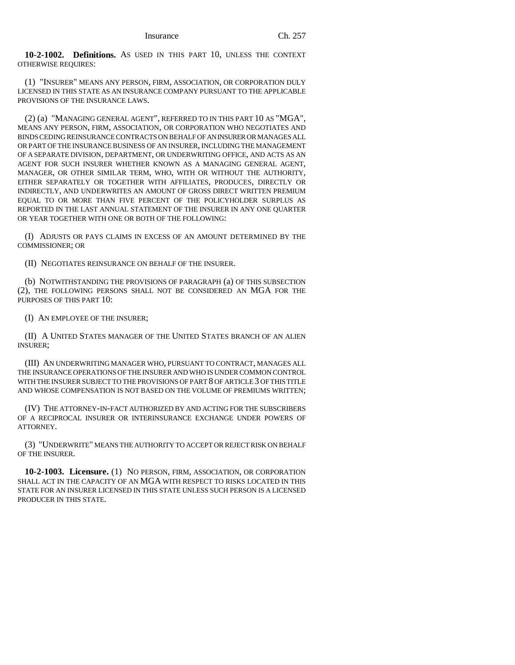**10-2-1002. Definitions.** AS USED IN THIS PART 10, UNLESS THE CONTEXT OTHERWISE REQUIRES:

(1) "INSURER" MEANS ANY PERSON, FIRM, ASSOCIATION, OR CORPORATION DULY LICENSED IN THIS STATE AS AN INSURANCE COMPANY PURSUANT TO THE APPLICABLE PROVISIONS OF THE INSURANCE LAWS.

(2) (a) "MANAGING GENERAL AGENT", REFERRED TO IN THIS PART 10 AS "MGA", MEANS ANY PERSON, FIRM, ASSOCIATION, OR CORPORATION WHO NEGOTIATES AND BINDS CEDING REINSURANCE CONTRACTS ON BEHALF OF AN INSURER OR MANAGES ALL OR PART OF THE INSURANCE BUSINESS OF AN INSURER, INCLUDING THE MANAGEMENT OF A SEPARATE DIVISION, DEPARTMENT, OR UNDERWRITING OFFICE, AND ACTS AS AN AGENT FOR SUCH INSURER WHETHER KNOWN AS A MANAGING GENERAL AGENT, MANAGER, OR OTHER SIMILAR TERM, WHO, WITH OR WITHOUT THE AUTHORITY, EITHER SEPARATELY OR TOGETHER WITH AFFILIATES, PRODUCES, DIRECTLY OR INDIRECTLY, AND UNDERWRITES AN AMOUNT OF GROSS DIRECT WRITTEN PREMIUM EQUAL TO OR MORE THAN FIVE PERCENT OF THE POLICYHOLDER SURPLUS AS REPORTED IN THE LAST ANNUAL STATEMENT OF THE INSURER IN ANY ONE QUARTER OR YEAR TOGETHER WITH ONE OR BOTH OF THE FOLLOWING:

(I) ADJUSTS OR PAYS CLAIMS IN EXCESS OF AN AMOUNT DETERMINED BY THE COMMISSIONER; OR

(II) NEGOTIATES REINSURANCE ON BEHALF OF THE INSURER.

(b) NOTWITHSTANDING THE PROVISIONS OF PARAGRAPH (a) OF THIS SUBSECTION (2), THE FOLLOWING PERSONS SHALL NOT BE CONSIDERED AN MGA FOR THE PURPOSES OF THIS PART 10:

(I) AN EMPLOYEE OF THE INSURER;

(II) A UNITED STATES MANAGER OF THE UNITED STATES BRANCH OF AN ALIEN INSURER;

(III) AN UNDERWRITING MANAGER WHO, PURSUANT TO CONTRACT, MANAGES ALL THE INSURANCE OPERATIONS OF THE INSURER AND WHO IS UNDER COMMON CONTROL WITH THE INSURER SUBJECT TO THE PROVISIONS OF PART 8 OF ARTICLE 3 OF THIS TITLE AND WHOSE COMPENSATION IS NOT BASED ON THE VOLUME OF PREMIUMS WRITTEN;

(IV) THE ATTORNEY-IN-FACT AUTHORIZED BY AND ACTING FOR THE SUBSCRIBERS OF A RECIPROCAL INSURER OR INTERINSURANCE EXCHANGE UNDER POWERS OF ATTORNEY.

(3) "UNDERWRITE" MEANS THE AUTHORITY TO ACCEPT OR REJECT RISK ON BEHALF OF THE INSURER.

**10-2-1003. Licensure.** (1) NO PERSON, FIRM, ASSOCIATION, OR CORPORATION SHALL ACT IN THE CAPACITY OF AN MGA WITH RESPECT TO RISKS LOCATED IN THIS STATE FOR AN INSURER LICENSED IN THIS STATE UNLESS SUCH PERSON IS A LICENSED PRODUCER IN THIS STATE.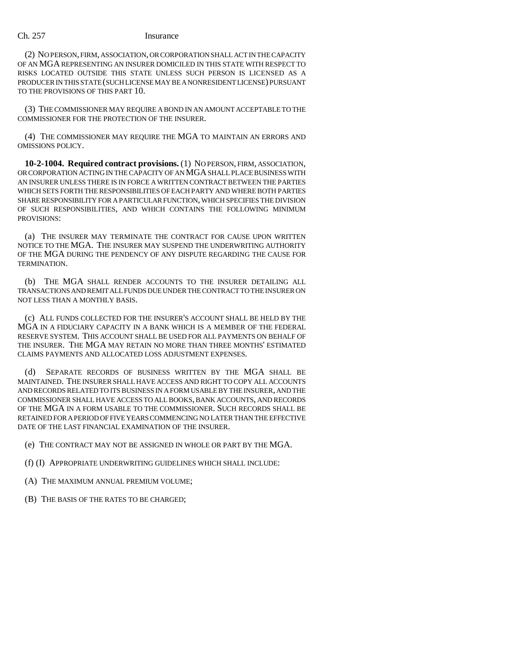(2) NO PERSON, FIRM, ASSOCIATION, OR CORPORATION SHALL ACT IN THE CAPACITY OF AN MGA REPRESENTING AN INSURER DOMICILED IN THIS STATE WITH RESPECT TO RISKS LOCATED OUTSIDE THIS STATE UNLESS SUCH PERSON IS LICENSED AS A PRODUCER IN THIS STATE (SUCH LICENSE MAY BE A NONRESIDENT LICENSE) PURSUANT TO THE PROVISIONS OF THIS PART 10.

(3) THE COMMISSIONER MAY REQUIRE A BOND IN AN AMOUNT ACCEPTABLE TO THE COMMISSIONER FOR THE PROTECTION OF THE INSURER.

(4) THE COMMISSIONER MAY REQUIRE THE MGA TO MAINTAIN AN ERRORS AND OMISSIONS POLICY.

**10-2-1004. Required contract provisions.** (1) NO PERSON, FIRM, ASSOCIATION, OR CORPORATION ACTING IN THE CAPACITY OF AN MGA SHALL PLACE BUSINESS WITH AN INSURER UNLESS THERE IS IN FORCE A WRITTEN CONTRACT BETWEEN THE PARTIES WHICH SETS FORTH THE RESPONSIBILITIES OF EACH PARTY AND WHERE BOTH PARTIES SHARE RESPONSIBILITY FOR A PARTICULAR FUNCTION, WHICH SPECIFIES THE DIVISION OF SUCH RESPONSIBILITIES, AND WHICH CONTAINS THE FOLLOWING MINIMUM PROVISIONS:

(a) THE INSURER MAY TERMINATE THE CONTRACT FOR CAUSE UPON WRITTEN NOTICE TO THE MGA. THE INSURER MAY SUSPEND THE UNDERWRITING AUTHORITY OF THE MGA DURING THE PENDENCY OF ANY DISPUTE REGARDING THE CAUSE FOR TERMINATION.

(b) THE MGA SHALL RENDER ACCOUNTS TO THE INSURER DETAILING ALL TRANSACTIONS AND REMIT ALL FUNDS DUE UNDER THE CONTRACT TO THE INSURER ON NOT LESS THAN A MONTHLY BASIS.

(c) ALL FUNDS COLLECTED FOR THE INSURER'S ACCOUNT SHALL BE HELD BY THE MGA IN A FIDUCIARY CAPACITY IN A BANK WHICH IS A MEMBER OF THE FEDERAL RESERVE SYSTEM. THIS ACCOUNT SHALL BE USED FOR ALL PAYMENTS ON BEHALF OF THE INSURER. THE MGA MAY RETAIN NO MORE THAN THREE MONTHS' ESTIMATED CLAIMS PAYMENTS AND ALLOCATED LOSS ADJUSTMENT EXPENSES.

(d) SEPARATE RECORDS OF BUSINESS WRITTEN BY THE MGA SHALL BE MAINTAINED. THE INSURER SHALL HAVE ACCESS AND RIGHT TO COPY ALL ACCOUNTS AND RECORDS RELATED TO ITS BUSINESS IN A FORM USABLE BY THE INSURER, AND THE COMMISSIONER SHALL HAVE ACCESS TO ALL BOOKS, BANK ACCOUNTS, AND RECORDS OF THE MGA IN A FORM USABLE TO THE COMMISSIONER. SUCH RECORDS SHALL BE RETAINED FOR A PERIOD OF FIVE YEARS COMMENCING NO LATER THAN THE EFFECTIVE DATE OF THE LAST FINANCIAL EXAMINATION OF THE INSURER.

(e) THE CONTRACT MAY NOT BE ASSIGNED IN WHOLE OR PART BY THE MGA.

(f) (I) APPROPRIATE UNDERWRITING GUIDELINES WHICH SHALL INCLUDE:

(A) THE MAXIMUM ANNUAL PREMIUM VOLUME;

(B) THE BASIS OF THE RATES TO BE CHARGED;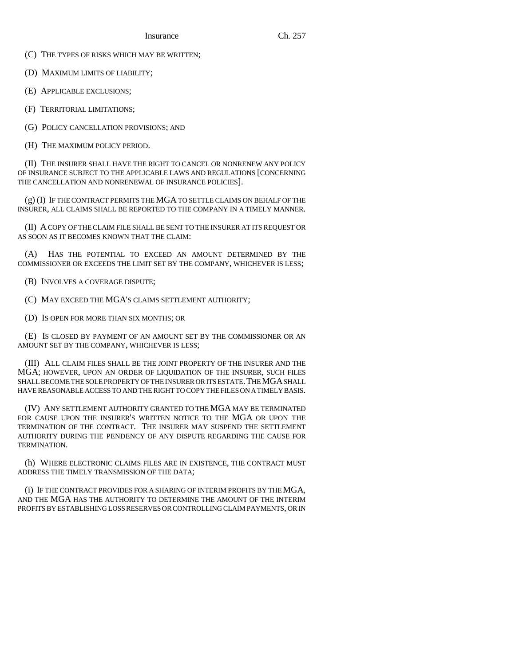(C) THE TYPES OF RISKS WHICH MAY BE WRITTEN;

(D) MAXIMUM LIMITS OF LIABILITY;

(E) APPLICABLE EXCLUSIONS;

(F) TERRITORIAL LIMITATIONS;

(G) POLICY CANCELLATION PROVISIONS; AND

(H) THE MAXIMUM POLICY PERIOD.

(II) THE INSURER SHALL HAVE THE RIGHT TO CANCEL OR NONRENEW ANY POLICY OF INSURANCE SUBJECT TO THE APPLICABLE LAWS AND REGULATIONS [CONCERNING THE CANCELLATION AND NONRENEWAL OF INSURANCE POLICIES].

(g) (I) IF THE CONTRACT PERMITS THE MGA TO SETTLE CLAIMS ON BEHALF OF THE INSURER, ALL CLAIMS SHALL BE REPORTED TO THE COMPANY IN A TIMELY MANNER.

(II) A COPY OF THE CLAIM FILE SHALL BE SENT TO THE INSURER AT ITS REQUEST OR AS SOON AS IT BECOMES KNOWN THAT THE CLAIM:

(A) HAS THE POTENTIAL TO EXCEED AN AMOUNT DETERMINED BY THE COMMISSIONER OR EXCEEDS THE LIMIT SET BY THE COMPANY, WHICHEVER IS LESS;

(B) INVOLVES A COVERAGE DISPUTE;

(C) MAY EXCEED THE MGA'S CLAIMS SETTLEMENT AUTHORITY;

(D) IS OPEN FOR MORE THAN SIX MONTHS; OR

(E) IS CLOSED BY PAYMENT OF AN AMOUNT SET BY THE COMMISSIONER OR AN AMOUNT SET BY THE COMPANY, WHICHEVER IS LESS;

(III) ALL CLAIM FILES SHALL BE THE JOINT PROPERTY OF THE INSURER AND THE MGA; HOWEVER, UPON AN ORDER OF LIQUIDATION OF THE INSURER, SUCH FILES SHALL BECOME THE SOLE PROPERTY OF THE INSURER OR ITS ESTATE. THE MGA SHALL HAVE REASONABLE ACCESS TO AND THE RIGHT TO COPY THE FILES ON A TIMELY BASIS.

(IV) ANY SETTLEMENT AUTHORITY GRANTED TO THE MGA MAY BE TERMINATED FOR CAUSE UPON THE INSURER'S WRITTEN NOTICE TO THE MGA OR UPON THE TERMINATION OF THE CONTRACT. THE INSURER MAY SUSPEND THE SETTLEMENT AUTHORITY DURING THE PENDENCY OF ANY DISPUTE REGARDING THE CAUSE FOR TERMINATION.

(h) WHERE ELECTRONIC CLAIMS FILES ARE IN EXISTENCE, THE CONTRACT MUST ADDRESS THE TIMELY TRANSMISSION OF THE DATA;

(i) IF THE CONTRACT PROVIDES FOR A SHARING OF INTERIM PROFITS BY THE MGA, AND THE MGA HAS THE AUTHORITY TO DETERMINE THE AMOUNT OF THE INTERIM PROFITS BY ESTABLISHING LOSS RESERVES OR CONTROLLING CLAIM PAYMENTS, OR IN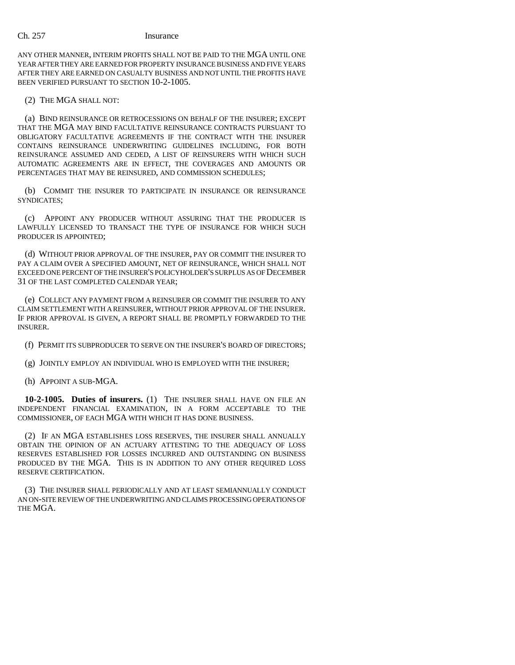ANY OTHER MANNER, INTERIM PROFITS SHALL NOT BE PAID TO THE MGA UNTIL ONE YEAR AFTER THEY ARE EARNED FOR PROPERTY INSURANCE BUSINESS AND FIVE YEARS AFTER THEY ARE EARNED ON CASUALTY BUSINESS AND NOT UNTIL THE PROFITS HAVE BEEN VERIFIED PURSUANT TO SECTION 10-2-1005.

(2) THE MGA SHALL NOT:

(a) BIND REINSURANCE OR RETROCESSIONS ON BEHALF OF THE INSURER; EXCEPT THAT THE MGA MAY BIND FACULTATIVE REINSURANCE CONTRACTS PURSUANT TO OBLIGATORY FACULTATIVE AGREEMENTS IF THE CONTRACT WITH THE INSURER CONTAINS REINSURANCE UNDERWRITING GUIDELINES INCLUDING, FOR BOTH REINSURANCE ASSUMED AND CEDED, A LIST OF REINSURERS WITH WHICH SUCH AUTOMATIC AGREEMENTS ARE IN EFFECT, THE COVERAGES AND AMOUNTS OR PERCENTAGES THAT MAY BE REINSURED, AND COMMISSION SCHEDULES;

(b) COMMIT THE INSURER TO PARTICIPATE IN INSURANCE OR REINSURANCE SYNDICATES;

(c) APPOINT ANY PRODUCER WITHOUT ASSURING THAT THE PRODUCER IS LAWFULLY LICENSED TO TRANSACT THE TYPE OF INSURANCE FOR WHICH SUCH PRODUCER IS APPOINTED;

(d) WITHOUT PRIOR APPROVAL OF THE INSURER, PAY OR COMMIT THE INSURER TO PAY A CLAIM OVER A SPECIFIED AMOUNT, NET OF REINSURANCE, WHICH SHALL NOT EXCEED ONE PERCENT OF THE INSURER'S POLICYHOLDER'S SURPLUS AS OF DECEMBER 31 OF THE LAST COMPLETED CALENDAR YEAR;

(e) COLLECT ANY PAYMENT FROM A REINSURER OR COMMIT THE INSURER TO ANY CLAIM SETTLEMENT WITH A REINSURER, WITHOUT PRIOR APPROVAL OF THE INSURER. IF PRIOR APPROVAL IS GIVEN, A REPORT SHALL BE PROMPTLY FORWARDED TO THE INSURER.

(f) PERMIT ITS SUBPRODUCER TO SERVE ON THE INSURER'S BOARD OF DIRECTORS;

(g) JOINTLY EMPLOY AN INDIVIDUAL WHO IS EMPLOYED WITH THE INSURER;

(h) APPOINT A SUB-MGA.

**10-2-1005. Duties of insurers.** (1) THE INSURER SHALL HAVE ON FILE AN INDEPENDENT FINANCIAL EXAMINATION, IN A FORM ACCEPTABLE TO THE COMMISSIONER, OF EACH MGA WITH WHICH IT HAS DONE BUSINESS.

(2) IF AN MGA ESTABLISHES LOSS RESERVES, THE INSURER SHALL ANNUALLY OBTAIN THE OPINION OF AN ACTUARY ATTESTING TO THE ADEQUACY OF LOSS RESERVES ESTABLISHED FOR LOSSES INCURRED AND OUTSTANDING ON BUSINESS PRODUCED BY THE MGA. THIS IS IN ADDITION TO ANY OTHER REQUIRED LOSS RESERVE CERTIFICATION.

(3) THE INSURER SHALL PERIODICALLY AND AT LEAST SEMIANNUALLY CONDUCT AN ON-SITE REVIEW OF THE UNDERWRITING AND CLAIMS PROCESSING OPERATIONS OF THE MGA.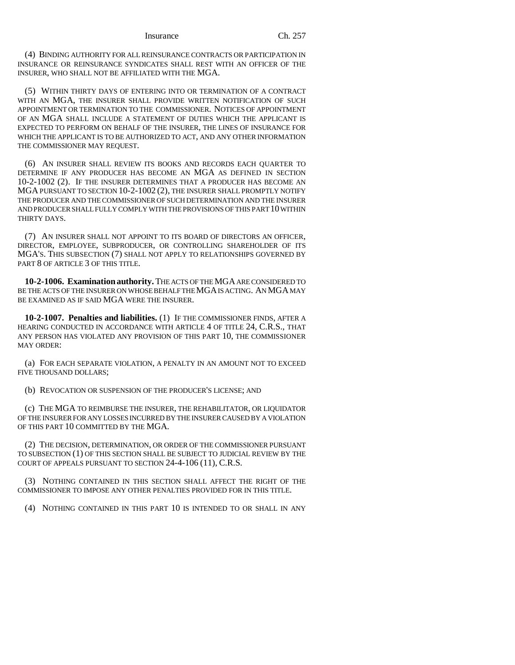(4) BINDING AUTHORITY FOR ALL REINSURANCE CONTRACTS OR PARTICIPATION IN INSURANCE OR REINSURANCE SYNDICATES SHALL REST WITH AN OFFICER OF THE INSURER, WHO SHALL NOT BE AFFILIATED WITH THE MGA.

(5) WITHIN THIRTY DAYS OF ENTERING INTO OR TERMINATION OF A CONTRACT WITH AN MGA, THE INSURER SHALL PROVIDE WRITTEN NOTIFICATION OF SUCH APPOINTMENT OR TERMINATION TO THE COMMISSIONER. NOTICES OF APPOINTMENT OF AN MGA SHALL INCLUDE A STATEMENT OF DUTIES WHICH THE APPLICANT IS EXPECTED TO PERFORM ON BEHALF OF THE INSURER, THE LINES OF INSURANCE FOR WHICH THE APPLICANT IS TO BE AUTHORIZED TO ACT, AND ANY OTHER INFORMATION THE COMMISSIONER MAY REQUEST.

(6) AN INSURER SHALL REVIEW ITS BOOKS AND RECORDS EACH QUARTER TO DETERMINE IF ANY PRODUCER HAS BECOME AN MGA AS DEFINED IN SECTION 10-2-1002 (2). IF THE INSURER DETERMINES THAT A PRODUCER HAS BECOME AN MGA PURSUANT TO SECTION 10-2-1002 (2), THE INSURER SHALL PROMPTLY NOTIFY THE PRODUCER AND THE COMMISSIONER OF SUCH DETERMINATION AND THE INSURER AND PRODUCER SHALL FULLY COMPLY WITH THE PROVISIONS OF THIS PART 10 WITHIN THIRTY DAYS.

(7) AN INSURER SHALL NOT APPOINT TO ITS BOARD OF DIRECTORS AN OFFICER, DIRECTOR, EMPLOYEE, SUBPRODUCER, OR CONTROLLING SHAREHOLDER OF ITS MGA'S. THIS SUBSECTION (7) SHALL NOT APPLY TO RELATIONSHIPS GOVERNED BY PART 8 OF ARTICLE 3 OF THIS TITLE.

**10-2-1006. Examination authority.** THE ACTS OF THE MGA ARE CONSIDERED TO BE THE ACTS OF THE INSURER ON WHOSE BEHALF THE MGA IS ACTING. AN MGA MAY BE EXAMINED AS IF SAID MGA WERE THE INSURER.

**10-2-1007. Penalties and liabilities.** (1) IF THE COMMISSIONER FINDS, AFTER A HEARING CONDUCTED IN ACCORDANCE WITH ARTICLE 4 OF TITLE 24, C.R.S., THAT ANY PERSON HAS VIOLATED ANY PROVISION OF THIS PART 10, THE COMMISSIONER MAY ORDER:

(a) FOR EACH SEPARATE VIOLATION, A PENALTY IN AN AMOUNT NOT TO EXCEED FIVE THOUSAND DOLLARS;

(b) REVOCATION OR SUSPENSION OF THE PRODUCER'S LICENSE; AND

(c) THE MGA TO REIMBURSE THE INSURER, THE REHABILITATOR, OR LIQUIDATOR OF THE INSURER FOR ANY LOSSES INCURRED BY THE INSURER CAUSED BY A VIOLATION OF THIS PART 10 COMMITTED BY THE MGA.

(2) THE DECISION, DETERMINATION, OR ORDER OF THE COMMISSIONER PURSUANT TO SUBSECTION (1) OF THIS SECTION SHALL BE SUBJECT TO JUDICIAL REVIEW BY THE COURT OF APPEALS PURSUANT TO SECTION 24-4-106 (11), C.R.S.

(3) NOTHING CONTAINED IN THIS SECTION SHALL AFFECT THE RIGHT OF THE COMMISSIONER TO IMPOSE ANY OTHER PENALTIES PROVIDED FOR IN THIS TITLE.

(4) NOTHING CONTAINED IN THIS PART 10 IS INTENDED TO OR SHALL IN ANY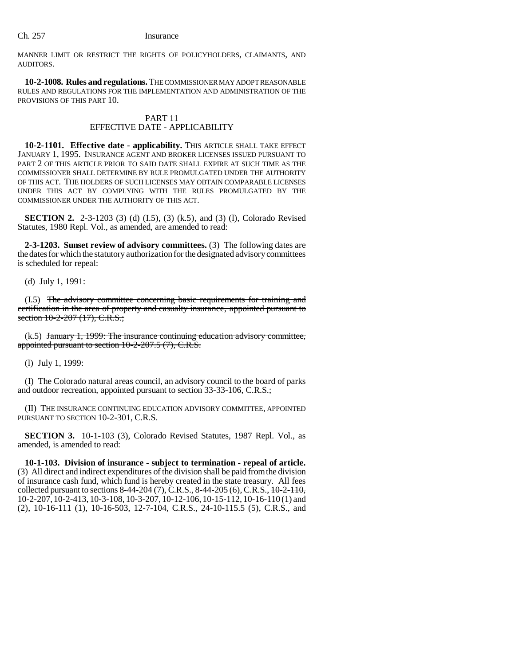MANNER LIMIT OR RESTRICT THE RIGHTS OF POLICYHOLDERS, CLAIMANTS, AND AUDITORS.

**10-2-1008. Rules and regulations.** THE COMMISSIONER MAY ADOPT REASONABLE RULES AND REGULATIONS FOR THE IMPLEMENTATION AND ADMINISTRATION OF THE PROVISIONS OF THIS PART 10.

# PART 11 EFFECTIVE DATE - APPLICABILITY

**10-2-1101. Effective date - applicability.** THIS ARTICLE SHALL TAKE EFFECT JANUARY 1, 1995. INSURANCE AGENT AND BROKER LICENSES ISSUED PURSUANT TO PART 2 OF THIS ARTICLE PRIOR TO SAID DATE SHALL EXPIRE AT SUCH TIME AS THE COMMISSIONER SHALL DETERMINE BY RULE PROMULGATED UNDER THE AUTHORITY OF THIS ACT. THE HOLDERS OF SUCH LICENSES MAY OBTAIN COMPARABLE LICENSES UNDER THIS ACT BY COMPLYING WITH THE RULES PROMULGATED BY THE COMMISSIONER UNDER THE AUTHORITY OF THIS ACT.

**SECTION 2.** 2-3-1203 (3) (d) (I.5), (3) (k.5), and (3) (l), Colorado Revised Statutes, 1980 Repl. Vol., as amended, are amended to read:

**2-3-1203. Sunset review of advisory committees.** (3) The following dates are the dates for which the statutory authorization for the designated advisory committees is scheduled for repeal:

(d) July 1, 1991:

(I.5) The advisory committee concerning basic requirements for training and certification in the area of property and casualty insurance, appointed pursuant to section  $10-2-207$   $(17)$ , C.R.S.;

(k.5) January 1, 1999: The insurance continuing education advisory committee, appointed pursuant to section 10-2-207.5 (7), C.R.S.

(l) July 1, 1999:

(I) The Colorado natural areas council, an advisory council to the board of parks and outdoor recreation, appointed pursuant to section 33-33-106, C.R.S.;

(II) THE INSURANCE CONTINUING EDUCATION ADVISORY COMMITTEE, APPOINTED PURSUANT TO SECTION 10-2-301, C.R.S.

**SECTION 3.** 10-1-103 (3), Colorado Revised Statutes, 1987 Repl. Vol., as amended, is amended to read:

**10-1-103. Division of insurance - subject to termination - repeal of article.** (3) All direct and indirect expenditures of the division shall be paid from the division of insurance cash fund, which fund is hereby created in the state treasury. All fees collected pursuant to sections  $8-44-204$  (7), C.R.S.,  $8-44-205$  (6), C.R.S.,  $\frac{10-2-110}{2}$ , 10-2-207, 10-2-413, 10-3-108, 10-3-207, 10-12-106, 10-15-112, 10-16-110 (1) and (2), 10-16-111 (1), 10-16-503, 12-7-104, C.R.S., 24-10-115.5 (5), C.R.S., and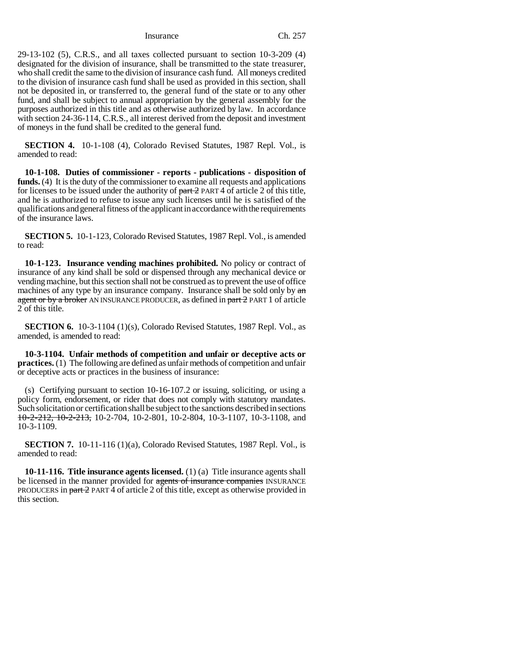Insurance Ch. 257

29-13-102 (5), C.R.S., and all taxes collected pursuant to section 10-3-209 (4) designated for the division of insurance, shall be transmitted to the state treasurer, who shall credit the same to the division of insurance cash fund. All moneys credited to the division of insurance cash fund shall be used as provided in this section, shall not be deposited in, or transferred to, the general fund of the state or to any other fund, and shall be subject to annual appropriation by the general assembly for the purposes authorized in this title and as otherwise authorized by law. In accordance with section 24-36-114, C.R.S., all interest derived from the deposit and investment of moneys in the fund shall be credited to the general fund.

**SECTION 4.** 10-1-108 (4), Colorado Revised Statutes, 1987 Repl. Vol., is amended to read:

**10-1-108. Duties of commissioner - reports - publications - disposition of funds.** (4) It is the duty of the commissioner to examine all requests and applications for licenses to be issued under the authority of  $part 2$  PART 4 of article 2 of this title, and he is authorized to refuse to issue any such licenses until he is satisfied of the qualifications and general fitness of the applicant in accordance with the requirements of the insurance laws.

**SECTION 5.** 10-1-123, Colorado Revised Statutes, 1987 Repl. Vol., is amended to read:

**10-1-123. Insurance vending machines prohibited.** No policy or contract of insurance of any kind shall be sold or dispensed through any mechanical device or vending machine, but this section shall not be construed as to prevent the use of office machines of any type by an insurance company. Insurance shall be sold only by  $\alpha n$ agent or by a broker AN INSURANCE PRODUCER, as defined in part 2 PART 1 of article 2 of this title.

**SECTION 6.** 10-3-1104 (1)(s), Colorado Revised Statutes, 1987 Repl. Vol., as amended, is amended to read:

**10-3-1104. Unfair methods of competition and unfair or deceptive acts or practices.** (1) The following are defined as unfair methods of competition and unfair or deceptive acts or practices in the business of insurance:

(s) Certifying pursuant to section 10-16-107.2 or issuing, soliciting, or using a policy form, endorsement, or rider that does not comply with statutory mandates. Such solicitation or certification shall be subject to the sanctions described in sections 10-2-212, 10-2-213, 10-2-704, 10-2-801, 10-2-804, 10-3-1107, 10-3-1108, and 10-3-1109.

**SECTION 7.** 10-11-116 (1)(a), Colorado Revised Statutes, 1987 Repl. Vol., is amended to read:

**10-11-116. Title insurance agents licensed.** (1) (a) Title insurance agents shall be licensed in the manner provided for agents of insurance companies INSURANCE PRODUCERS in part 2 PART 4 of article 2 of this title, except as otherwise provided in this section.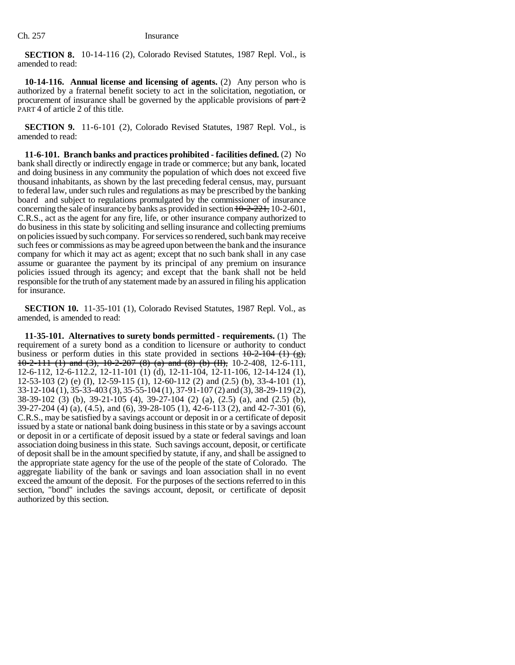**SECTION 8.** 10-14-116 (2), Colorado Revised Statutes, 1987 Repl. Vol., is amended to read:

**10-14-116. Annual license and licensing of agents.** (2) Any person who is authorized by a fraternal benefit society to act in the solicitation, negotiation, or procurement of insurance shall be governed by the applicable provisions of  $part 2$ PART 4 of article 2 of this title.

**SECTION 9.** 11-6-101 (2), Colorado Revised Statutes, 1987 Repl. Vol., is amended to read:

**11-6-101. Branch banks and practices prohibited - facilities defined.** (2) No bank shall directly or indirectly engage in trade or commerce; but any bank, located and doing business in any community the population of which does not exceed five thousand inhabitants, as shown by the last preceding federal census, may, pursuant to federal law, under such rules and regulations as may be prescribed by the banking board and subject to regulations promulgated by the commissioner of insurance concerning the sale of insurance by banks as provided in section  $10-2-221$ , 10-2-601, C.R.S., act as the agent for any fire, life, or other insurance company authorized to do business in this state by soliciting and selling insurance and collecting premiums on policies issued by such company. For services so rendered, such bank may receive such fees or commissions as may be agreed upon between the bank and the insurance company for which it may act as agent; except that no such bank shall in any case assume or guarantee the payment by its principal of any premium on insurance policies issued through its agency; and except that the bank shall not be held responsible for the truth of any statement made by an assured in filing his application for insurance.

**SECTION 10.** 11-35-101 (1), Colorado Revised Statutes, 1987 Repl. Vol., as amended, is amended to read:

**11-35-101. Alternatives to surety bonds permitted - requirements.** (1) The requirement of a surety bond as a condition to licensure or authority to conduct business or perform duties in this state provided in sections  $10-2-104$  (1) (g),  $10-2-111$  (1) and (3),  $10-2-207$  (8) (a) and (8) (b) (II), 10-2-408, 12-6-111, 12-6-112, 12-6-112.2, 12-11-101 (1) (d), 12-11-104, 12-11-106, 12-14-124 (1), 12-53-103 (2) (e) (I), 12-59-115 (1), 12-60-112 (2) and (2.5) (b), 33-4-101 (1), 33-12-104 (1), 35-33-403 (3), 35-55-104 (1), 37-91-107 (2) and (3), 38-29-119 (2), 38-39-102 (3) (b), 39-21-105 (4), 39-27-104 (2) (a), (2.5) (a), and (2.5) (b), 39-27-204 (4) (a), (4.5), and (6), 39-28-105 (1), 42-6-113 (2), and 42-7-301 (6), C.R.S., may be satisfied by a savings account or deposit in or a certificate of deposit issued by a state or national bank doing business in this state or by a savings account or deposit in or a certificate of deposit issued by a state or federal savings and loan association doing business in this state. Such savings account, deposit, or certificate of deposit shall be in the amount specified by statute, if any, and shall be assigned to the appropriate state agency for the use of the people of the state of Colorado. The aggregate liability of the bank or savings and loan association shall in no event exceed the amount of the deposit. For the purposes of the sections referred to in this section, "bond" includes the savings account, deposit, or certificate of deposit authorized by this section.